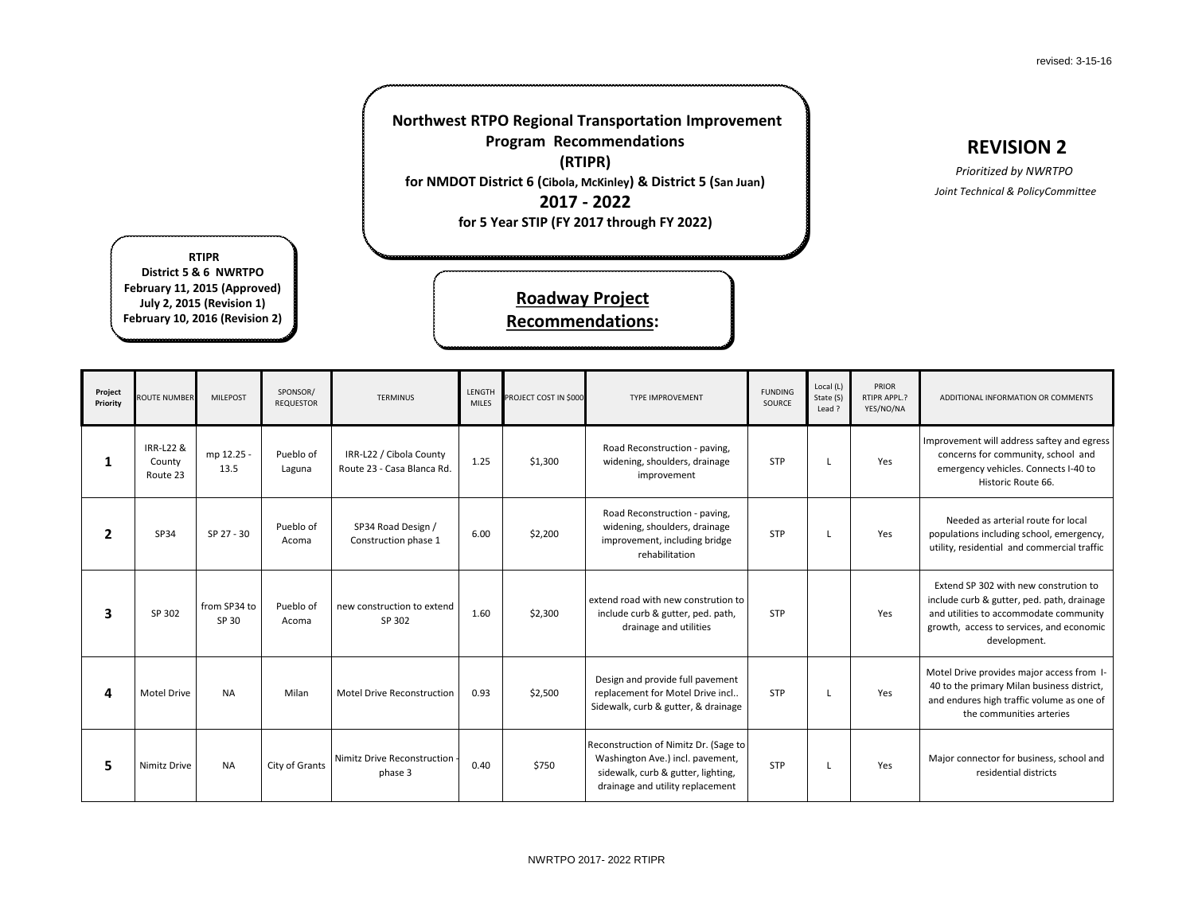revised: 3-15-16

### **REVISION 2**

### *Prioritized by NWRTPO Joint Technical & PolicyCommittee*

**DITIONAL INFORMATION OR COMMENTS** 

vement will address saftey and egress ncerns for community, school and ergency vehicles. Connects I-40 to Historic Route 66.

Needed as arterial route for local ulations including school, emergency, ty, residential and commercial traffic

end SP 302 with new constrution to de curb & gutter, ped. path, drainage utilities to accommodate community th, access to services, and economic development.

I Drive provides major access from Ithe primary Milan business district, endures high traffic volume as one of the communities arteries

or connector for business, school and residential districts

| Project<br>Priority | <b>ROUTE NUMBER</b>             | <b>MILEPOST</b>       | SPONSOR/<br><b>REQUESTOR</b> | <b>TERMINUS</b>                                       | LENGTH<br><b>MILES</b> | PROJECT COST IN \$000 | <b>TYPE IMPROVEMENT</b>                                                                                                                             | <b>FUNDING</b><br>SOURCE | Local (L)<br>State (S)<br>Lead? | PRIOR<br>RTIPR APPL.?<br>YES/NO/NA | <b>AD</b>                             |
|---------------------|---------------------------------|-----------------------|------------------------------|-------------------------------------------------------|------------------------|-----------------------|-----------------------------------------------------------------------------------------------------------------------------------------------------|--------------------------|---------------------------------|------------------------------------|---------------------------------------|
| 1                   | IRR-L22 &<br>County<br>Route 23 | mp 12.25 -<br>13.5    | Pueblo of<br>Laguna          | IRR-L22 / Cibola County<br>Route 23 - Casa Blanca Rd. | 1.25                   | \$1,300               | Road Reconstruction - paving,<br>widening, shoulders, drainage<br>improvement                                                                       | <b>STP</b>               | L                               | Yes                                | <b>Impro</b><br>COI<br>em             |
| $\overline{2}$      | SP34                            | SP 27 - 30            | Pueblo of<br>Acoma           | SP34 Road Design /<br>Construction phase 1            | 6.00                   | \$2,200               | Road Reconstruction - paving,<br>widening, shoulders, drainage<br>improvement, including bridge<br>rehabilitation                                   | <b>STP</b>               | L                               | Yes                                | popu<br>utilit                        |
| 3                   | SP 302                          | from SP34 to<br>SP 30 | Pueblo of<br>Acoma           | new construction to extend<br>SP 302                  | 1.60                   | \$2,300               | extend road with new constrution to<br>include curb & gutter, ped. path,<br>drainage and utilities                                                  | <b>STP</b>               |                                 | Yes                                | <b>Exte</b><br>inclu<br>and u<br>grow |
| 4                   | <b>Motel Drive</b>              | <b>NA</b>             | Milan                        | Motel Drive Reconstruction                            | 0.93                   | \$2,500               | Design and provide full pavement<br>replacement for Motel Drive incl<br>Sidewalk, curb & gutter, & drainage                                         | <b>STP</b>               | L                               | Yes                                | Mote<br>40 to<br>and $\epsilon$       |
| 5                   | Nimitz Drive                    | <b>NA</b>             | City of Grants               | Nimitz Drive Reconstruction<br>phase 3                | 0.40                   | \$750                 | Reconstruction of Nimitz Dr. (Sage to<br>Washington Ave.) incl. pavement,<br>sidewalk, curb & gutter, lighting,<br>drainage and utility replacement | <b>STP</b>               | L                               | Yes                                | Majo                                  |

### **Northwest RTPO Regional Transportation Improvement Program Recommendations (RTIPR) for NMDOT District 6 (Cibola, McKinley) & District 5 (San Juan) 2017 - 2022**

**for 5 Year STIP (FY 2017 through FY 2022)**

**Recommendations:**

**RTIPR District 5 & 6 NWRTPO February 11, 2015 (Approved) July 2, 2015 (Revision 1) February 10, 2016 (Revision 2)**

# **Roadway Project**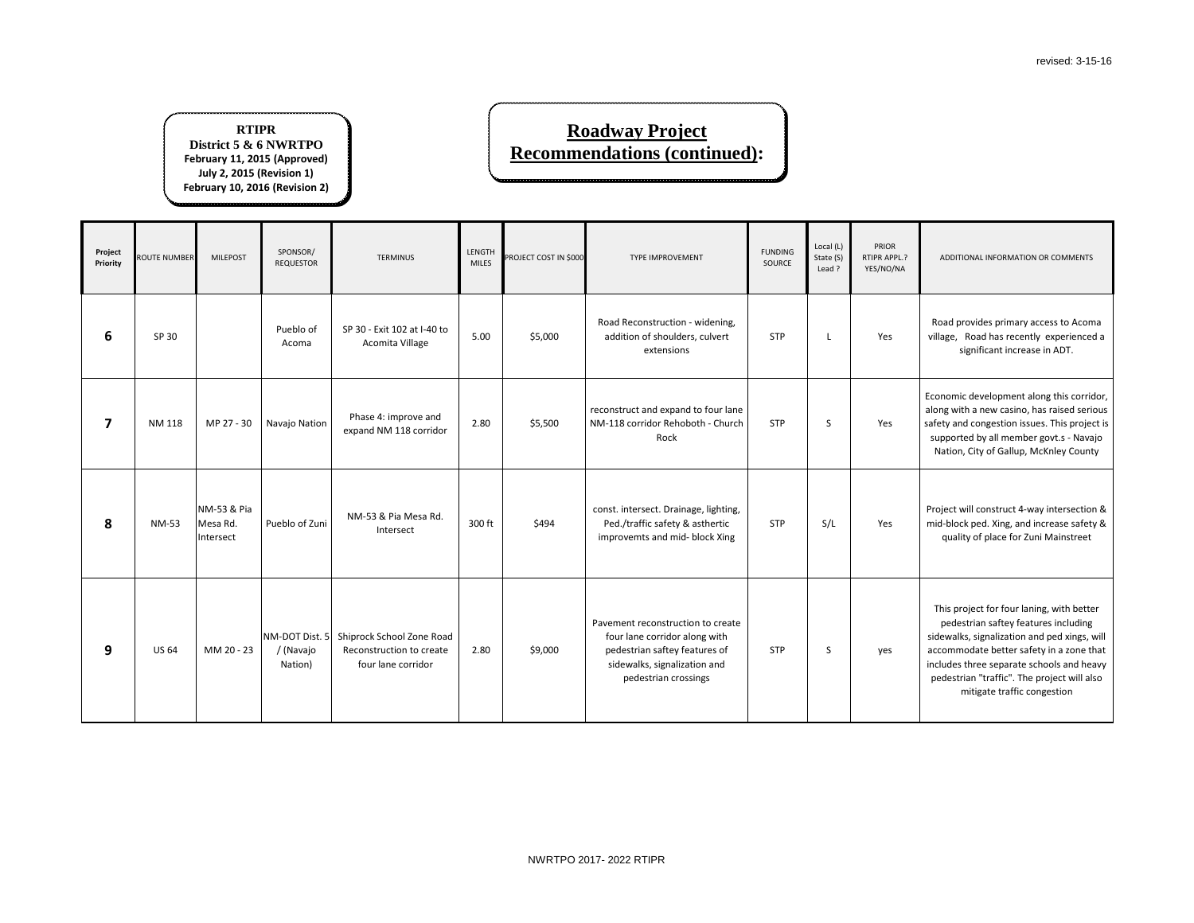

d provides primary access to Acoma e, Road has recently experienced a significant increase in ADT.

omic development along this corridor, with a new casino, has raised serious and congestion issues. This project is orted by all member govt.s - Navajo ion, City of Gallup, McKnley County

ct will construct 4-way intersection & plock ped. Xing, and increase safety  $\&$ uality of place for Zuni Mainstreet

| Project<br>Priority     | <b>ROUTE NUMBER</b> | <b>MILEPOST</b>                      | SPONSOR/<br><b>REQUESTOR</b> | <b>TERMINUS</b>                                                                            | LENGTH<br><b>MILES</b> | PROJECT COST IN \$000 | <b>TYPE IMPROVEMENT</b>                                                                                                                                     | <b>FUNDING</b><br><b>SOURCE</b> | Local (L)<br>State (S)<br>Lead? | PRIOR<br>RTIPR APPL.?<br>YES/NO/NA | AD                                             |
|-------------------------|---------------------|--------------------------------------|------------------------------|--------------------------------------------------------------------------------------------|------------------------|-----------------------|-------------------------------------------------------------------------------------------------------------------------------------------------------------|---------------------------------|---------------------------------|------------------------------------|------------------------------------------------|
| 6                       | SP 30               |                                      | Pueblo of<br>Acoma           | SP 30 - Exit 102 at I-40 to<br>Acomita Village                                             | 5.00                   | \$5,000               | Road Reconstruction - widening,<br>addition of shoulders, culvert<br>extensions                                                                             | <b>STP</b>                      | L                               | Yes                                | Road<br>villag                                 |
| $\overline{\mathbf{z}}$ | <b>NM 118</b>       | MP 27 - 30                           | Navajo Nation                | Phase 4: improve and<br>expand NM 118 corridor                                             | 2.80                   | \$5,500               | reconstruct and expand to four lane<br>NM-118 corridor Rehoboth - Church<br>Rock                                                                            | STP                             | $\sf S$                         | Yes                                | Econo<br>along<br>safety<br>supp<br>Nati       |
| 8                       | <b>NM-53</b>        | NM-53 & Pia<br>Mesa Rd.<br>Intersect | Pueblo of Zuni               | NM-53 & Pia Mesa Rd.<br>Intersect                                                          | 300 ft                 | \$494                 | const. intersect. Drainage, lighting,<br>Ped./traffic safety & asthertic<br>improvemts and mid- block Xing                                                  | <b>STP</b>                      | S/L                             | Yes                                | Projeo<br>mid-b<br>qu                          |
| 9                       | <b>US 64</b>        | MM 20 - 23                           | / (Navajo<br>Nation)         | NM-DOT Dist. 5 Shiprock School Zone Road<br>Reconstruction to create<br>four lane corridor | 2.80                   | \$9,000               | Pavement reconstruction to create<br>four lane corridor along with<br>pedestrian saftey features of<br>sidewalks, signalization and<br>pedestrian crossings | <b>STP</b>                      | S                               | yes                                | This<br>pe<br>sidew<br>accor<br>includ<br>pede |

s project for four laning, with better edestrian saftey features including valks, signalization and ped xings, will mmodate better safety in a zone that des three separate schools and heavy estrian "traffic". The project will also mitigate traffic congestion

#### **RTIPR District 5 & 6 NWRTPO February 11, 2015 (Approved) July 2, 2015 (Revision 1) February 10, 2016 (Revision 2)**

## **Roadway Project Recommendations (continued):**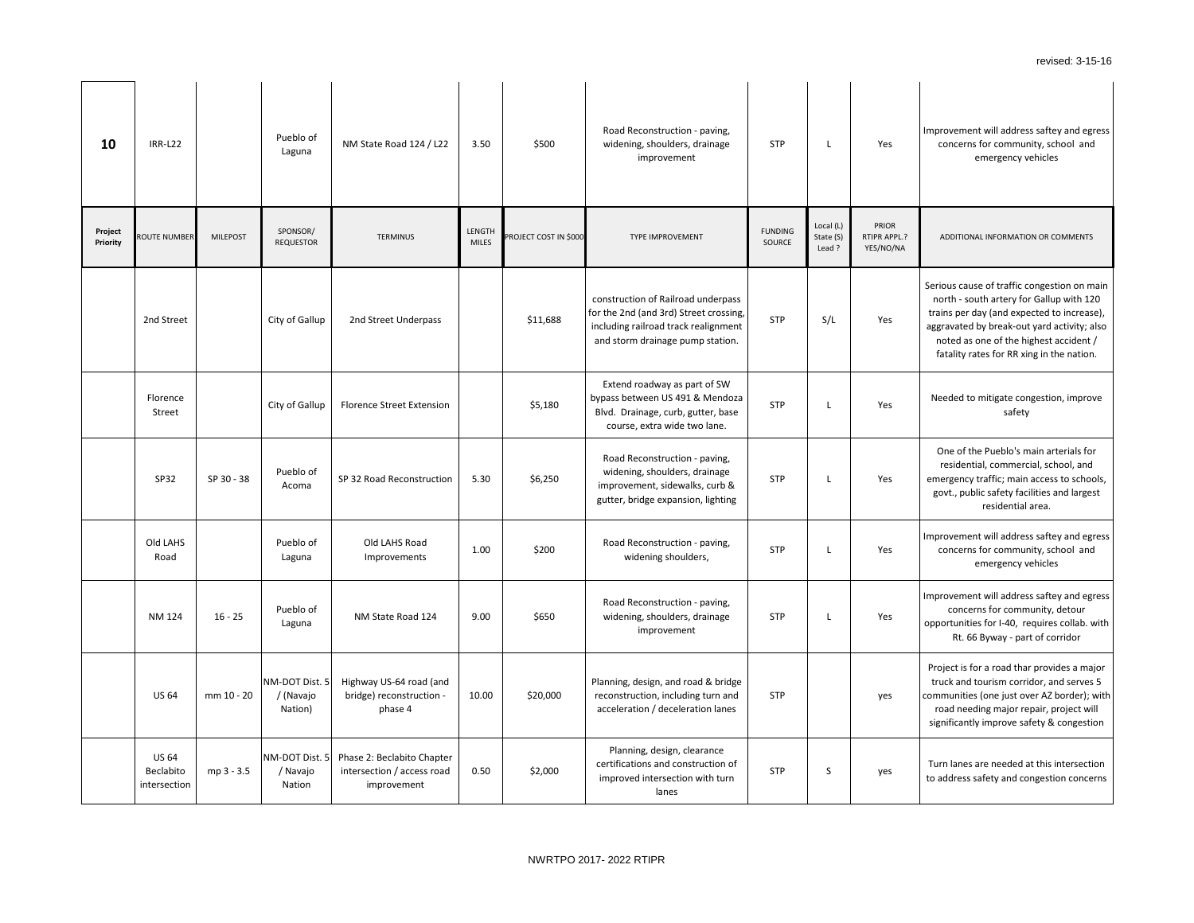vement will address saftey and egress oncerns for community, school and emergency vehicles

**DITIONAL INFORMATION OR COMMENTS** 

us cause of traffic congestion on main th - south artery for Gallup with 120 is per day (and expected to increase), avated by break-out yard activity; also ted as one of the highest accident / ality rates for RR xing in the nation.

ded to mitigate congestion, improve safety

e of the Pueblo's main arterials for sidential, commercial, school, and rgency traffic; main access to schools, t., public safety facilities and largest residential area.

vement will address saftey and egress ncerns for community, school and emergency vehicles

vement will address saftey and egress concerns for community, detour rtunities for I-40, requires collab. with Rt. 66 Byway - part of corridor

ect is for a road thar provides a major k and tourism corridor, and serves 5 unities (one just over AZ border); with ad needing major repair, project will ficantly improve safety & congestion

In lanes are needed at this intersection dress safety and congestion concerns

| 10                  | <b>IRR-L22</b>                            |                 | Pueblo of<br>Laguna                    | NM State Road 124 / L22                                                 | 3.50                          | \$500                 | Road Reconstruction - paving,<br>widening, shoulders, drainage<br>improvement                                                                            | <b>STP</b>               | L                                | Yes                                       | Impro<br>COI                                    |
|---------------------|-------------------------------------------|-----------------|----------------------------------------|-------------------------------------------------------------------------|-------------------------------|-----------------------|----------------------------------------------------------------------------------------------------------------------------------------------------------|--------------------------|----------------------------------|-------------------------------------------|-------------------------------------------------|
| Project<br>Priority | <b>ROUTE NUMBER</b>                       | <b>MILEPOST</b> | SPONSOR/<br><b>REQUESTOR</b>           | <b>TERMINUS</b>                                                         | <b>LENGTH</b><br><b>MILES</b> | PROJECT COST IN \$000 | TYPE IMPROVEMENT                                                                                                                                         | <b>FUNDING</b><br>SOURCE | Local (L)<br>State (S)<br>Lead ? | PRIOR<br><b>RTIPR APPL.?</b><br>YES/NO/NA | AD                                              |
|                     | 2nd Street                                |                 | City of Gallup                         | 2nd Street Underpass                                                    |                               | \$11,688              | construction of Railroad underpass<br>for the 2nd (and 3rd) Street crossing,<br>including railroad track realignment<br>and storm drainage pump station. | <b>STP</b>               | S/L                              | Yes                                       | Seriou<br>nort<br>train:<br>aggra<br>not<br>fat |
|                     | Florence<br>Street                        |                 | City of Gallup                         | <b>Florence Street Extension</b>                                        |                               | \$5,180               | Extend roadway as part of SW<br>bypass between US 491 & Mendoza<br>Blvd. Drainage, curb, gutter, base<br>course, extra wide two lane.                    | <b>STP</b>               | L                                | Yes                                       | Nee                                             |
|                     | SP32                                      | SP 30 - 38      | Pueblo of<br>Acoma                     | SP 32 Road Reconstruction                                               | 5.30                          | \$6,250               | Road Reconstruction - paving,<br>widening, shoulders, drainage<br>improvement, sidewalks, curb &<br>gutter, bridge expansion, lighting                   | <b>STP</b>               | L                                | Yes                                       | On<br>re.<br>emer<br>gov                        |
|                     | Old LAHS<br>Road                          |                 | Pueblo of<br>Laguna                    | Old LAHS Road<br>Improvements                                           | 1.00                          | \$200                 | Road Reconstruction - paving,<br>widening shoulders,                                                                                                     | <b>STP</b>               | L                                | Yes                                       | Impro<br>COI                                    |
|                     | <b>NM 124</b>                             | $16 - 25$       | Pueblo of<br>Laguna                    | NM State Road 124                                                       | 9.00                          | \$650                 | Road Reconstruction - paving,<br>widening, shoulders, drainage<br>improvement                                                                            | <b>STP</b>               | L                                | Yes                                       | Impro<br>oppor                                  |
|                     | <b>US 64</b>                              | mm 10 - 20      | NM-DOT Dist. 5<br>/ (Navajo<br>Nation) | Highway US-64 road (and<br>bridge) reconstruction -<br>phase 4          | 10.00                         | \$20,000              | Planning, design, and road & bridge<br>reconstruction, including turn and<br>acceleration / deceleration lanes                                           | <b>STP</b>               |                                  | yes                                       | Proje<br>truc<br>comm<br>roa<br>signi           |
|                     | <b>US 64</b><br>Beclabito<br>intersection | mp 3 - 3.5      | NM-DOT Dist. 5<br>/ Navajo<br>Nation   | Phase 2: Beclabito Chapter<br>intersection / access road<br>improvement | 0.50                          | \$2,000               | Planning, design, clearance<br>certifications and construction of<br>improved intersection with turn<br>lanes                                            | <b>STP</b>               | S                                | yes                                       | Turn<br>to ad                                   |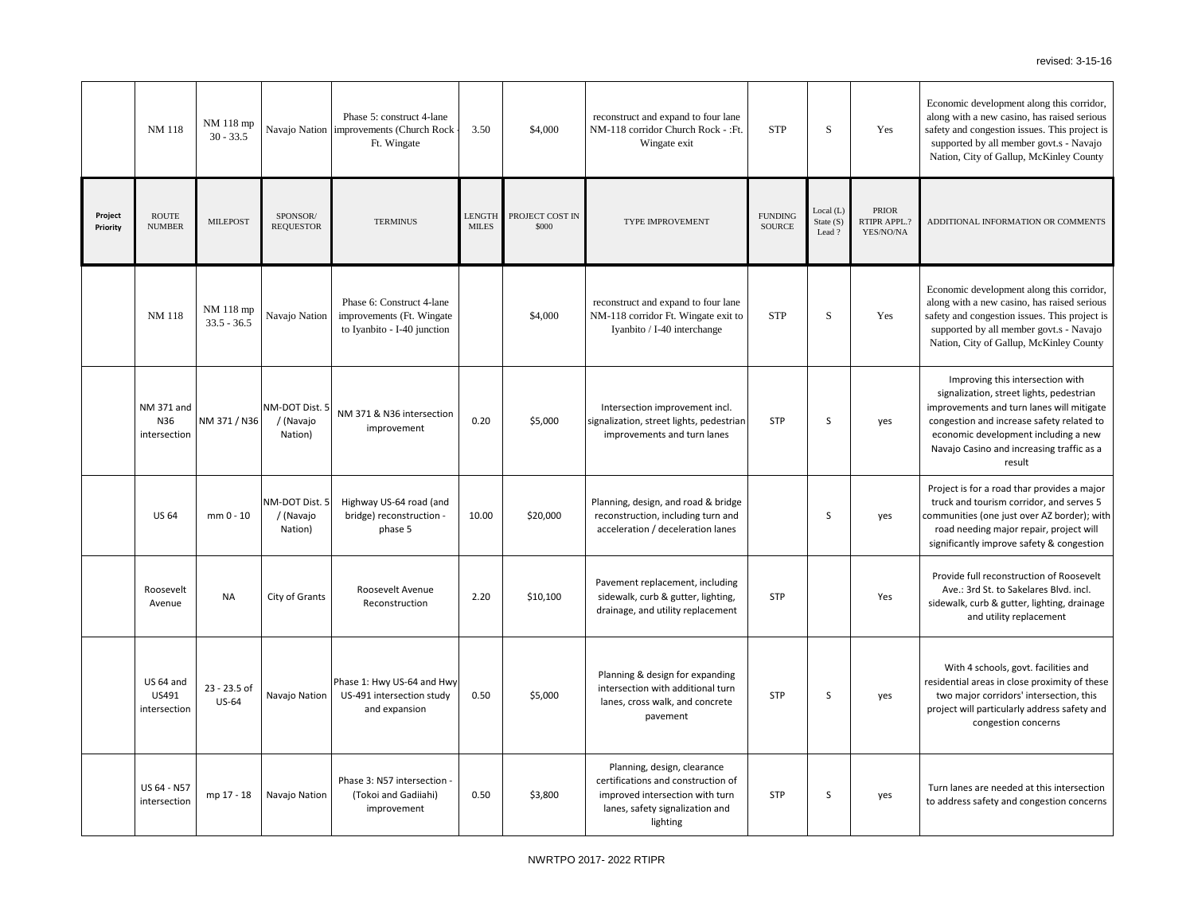nomic development along this corridor, g with a new casino, has raised serious y and congestion issues. This project is ported by all member govt.s - Navajo ion, City of Gallup, McKinley County

**ITIONAL INFORMATION OR COMMENTS** 

nomic development along this corridor, g with a new casino, has raised serious y and congestion issues. This project is ported by all member govt.s - Navajo ion, City of Gallup, McKinley County

vide full reconstruction of Roosevelt Ave.: 3rd St. to Sakelares Blvd. incl. walk, curb & gutter, lighting, drainage and utility replacement

Improving this intersection with gnalization, street lights, pedestrian rovements and turn lanes will mitigate gestion and increase safety related to onomic development including a new vajo Casino and increasing traffic as a result

ect is for a road thar provides a major ck and tourism corridor, and serves 5 nunities (one just over AZ border); with ad needing major repair, project will ificantly improve safety & congestion

|                     | <b>NM 118</b>                      | NM 118 mp<br>$30 - 33.5$     |                                        | Phase 5: construct 4-lane<br>Navajo Nation   improvements (Church Rock<br>Ft. Wingate | 3.50                          | \$4,000                  | reconstruct and expand to four lane<br>NM-118 corridor Church Rock - : Ft.<br>Wingate exit                                                          | <b>STP</b>                      | S                               | Yes                                | Econ<br>along<br>safety<br>supp<br>Nati |
|---------------------|------------------------------------|------------------------------|----------------------------------------|---------------------------------------------------------------------------------------|-------------------------------|--------------------------|-----------------------------------------------------------------------------------------------------------------------------------------------------|---------------------------------|---------------------------------|------------------------------------|-----------------------------------------|
| Project<br>Priority | <b>ROUTE</b><br><b>NUMBER</b>      | <b>MILEPOST</b>              | SPONSOR/<br><b>REQUESTOR</b>           | <b>TERMINUS</b>                                                                       | <b>LENGTH</b><br><b>MILES</b> | PROJECT COST IN<br>\$000 | TYPE IMPROVEMENT                                                                                                                                    | <b>FUNDING</b><br><b>SOURCE</b> | Local (L)<br>State (S)<br>Lead? | PRIOR<br>RTIPR APPL.?<br>YES/NO/NA | <b>ADDI</b>                             |
|                     | <b>NM 118</b>                      | NM 118 mp<br>$33.5 - 36.5$   | Navajo Nation                          | Phase 6: Construct 4-lane<br>improvements (Ft. Wingate<br>to Iyanbito - I-40 junction |                               | \$4,000                  | reconstruct and expand to four lane<br>NM-118 corridor Ft. Wingate exit to<br>Iyanbito / I-40 interchange                                           | <b>STP</b>                      | S                               | Yes                                | Econ<br>along<br>safety<br>supp<br>Nati |
|                     | NM 371 and<br>N36<br>intersection  | NM 371 / N36                 | NM-DOT Dist. 5<br>/ (Navajo<br>Nation) | NM 371 & N36 intersection<br>improvement                                              | 0.20                          | \$5,000                  | Intersection improvement incl.<br>signalization, street lights, pedestrian<br>improvements and turn lanes                                           | <b>STP</b>                      | S                               | yes                                | sig<br>impro<br>cong<br>eco<br>Nav      |
|                     | <b>US 64</b>                       | mm 0 - 10                    | NM-DOT Dist. 5<br>/ (Navajo<br>Nation) | Highway US-64 road (and<br>bridge) reconstruction -<br>phase 5                        | 10.00                         | \$20,000                 | Planning, design, and road & bridge<br>reconstruction, including turn and<br>acceleration / deceleration lanes                                      |                                 | S                               | yes                                | Proje<br>truc<br>comm<br>roa<br>signi   |
|                     | Roosevelt<br>Avenue                | <b>NA</b>                    | City of Grants                         | Roosevelt Avenue<br>Reconstruction                                                    | 2.20                          | \$10,100                 | Pavement replacement, including<br>sidewalk, curb & gutter, lighting,<br>drainage, and utility replacement                                          | <b>STP</b>                      |                                 | Yes                                | Pro<br>A<br>side                        |
|                     | US 64 and<br>US491<br>intersection | 23 - 23.5 of<br><b>US-64</b> | Navajo Nation                          | Phase 1: Hwy US-64 and Hwy<br>US-491 intersection study<br>and expansion              | 0.50                          | \$5,000                  | Planning & design for expanding<br>intersection with additional turn<br>lanes, cross walk, and concrete<br>pavement                                 | <b>STP</b>                      | S                               | yes                                | reside<br>tw<br>proje                   |
|                     | US 64 - N57<br>intersection        | mp 17 - 18                   | Navajo Nation                          | Phase 3: N57 intersection -<br>(Tokoi and Gadiiahi)<br>improvement                    | 0.50                          | \$3,800                  | Planning, design, clearance<br>certifications and construction of<br>improved intersection with turn<br>lanes, safety signalization and<br>lighting | <b>STP</b>                      | S                               | yes                                | Turn<br>to ad                           |

With 4 schools, govt. facilities and ential areas in close proximity of these o major corridors' intersection, this ect will particularly address safety and congestion concerns

In lanes are needed at this intersection ddress safety and congestion concerns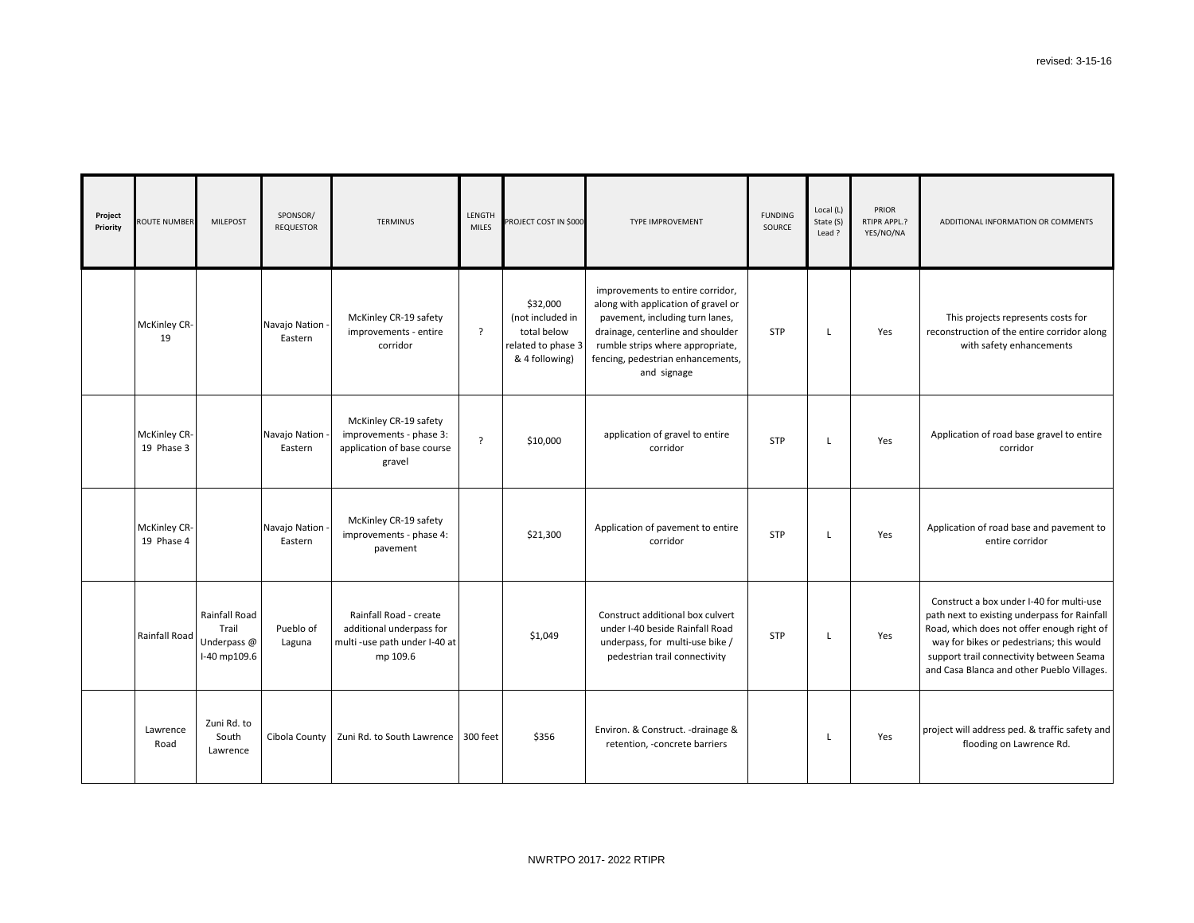| Project<br>Priority | ROUTE NUMBER                      | <b>MILEPOST</b>                                       | SPONSOR/<br><b>REQUESTOR</b> | <b>TERMINUS</b>                                                                                 | <b>LENGTH</b><br><b>MILES</b> | PROJECT COST IN \$000                                                               | TYPE IMPROVEMENT                                                                                                                                                                                                                        | <b>FUNDING</b><br>SOURCE | Local (L)<br>State (S)<br>Lead ? | PRIOR<br>RTIPR APPL.?<br>YES/NO/NA | AD                                          |
|---------------------|-----------------------------------|-------------------------------------------------------|------------------------------|-------------------------------------------------------------------------------------------------|-------------------------------|-------------------------------------------------------------------------------------|-----------------------------------------------------------------------------------------------------------------------------------------------------------------------------------------------------------------------------------------|--------------------------|----------------------------------|------------------------------------|---------------------------------------------|
|                     | <b>McKinley CR-</b><br>19         |                                                       | Navajo Nation -<br>Eastern   | McKinley CR-19 safety<br>improvements - entire<br>corridor                                      | $\cdot$                       | \$32,000<br>(not included in<br>total below<br>related to phase 3<br>& 4 following) | improvements to entire corridor,<br>along with application of gravel or<br>pavement, including turn lanes,<br>drainage, centerline and shoulder<br>rumble strips where appropriate,<br>fencing, pedestrian enhancements,<br>and signage | <b>STP</b>               | L                                | Yes                                | recor                                       |
|                     | <b>McKinley CR-</b><br>19 Phase 3 |                                                       | Navajo Nation -<br>Eastern   | McKinley CR-19 safety<br>improvements - phase 3:<br>application of base course<br>gravel        | $\overline{?}$                | \$10,000                                                                            | application of gravel to entire<br>corridor                                                                                                                                                                                             | <b>STP</b>               | L                                | Yes                                | App                                         |
|                     | <b>McKinley CR-</b><br>19 Phase 4 |                                                       | Navajo Nation -<br>Eastern   | McKinley CR-19 safety<br>improvements - phase 4:<br>pavement                                    |                               | \$21,300                                                                            | Application of pavement to entire<br>corridor                                                                                                                                                                                           | <b>STP</b>               | L                                | Yes                                | Appli                                       |
|                     | Rainfall Road                     | Rainfall Road<br>Trail<br>Underpass @<br>I-40 mp109.6 | Pueblo of<br>Laguna          | Rainfall Road - create<br>additional underpass for<br>multi -use path under I-40 at<br>mp 109.6 |                               | \$1,049                                                                             | Construct additional box culvert<br>under I-40 beside Rainfall Road<br>underpass, for multi-use bike /<br>pedestrian trail connectivity                                                                                                 | <b>STP</b>               |                                  | Yes                                | Con<br>path<br>Road<br>way<br>supp<br>and C |
|                     | Lawrence<br>Road                  | Zuni Rd. to<br>South<br>Lawrence                      | Cibola County                | Zuni Rd. to South Lawrence                                                                      | 300 feet                      | \$356                                                                               | Environ. & Construct. - drainage &<br>retention, -concrete barriers                                                                                                                                                                     |                          | L                                | Yes                                | projed                                      |



ct will address ped. & traffic safety and flooding on Lawrence Rd.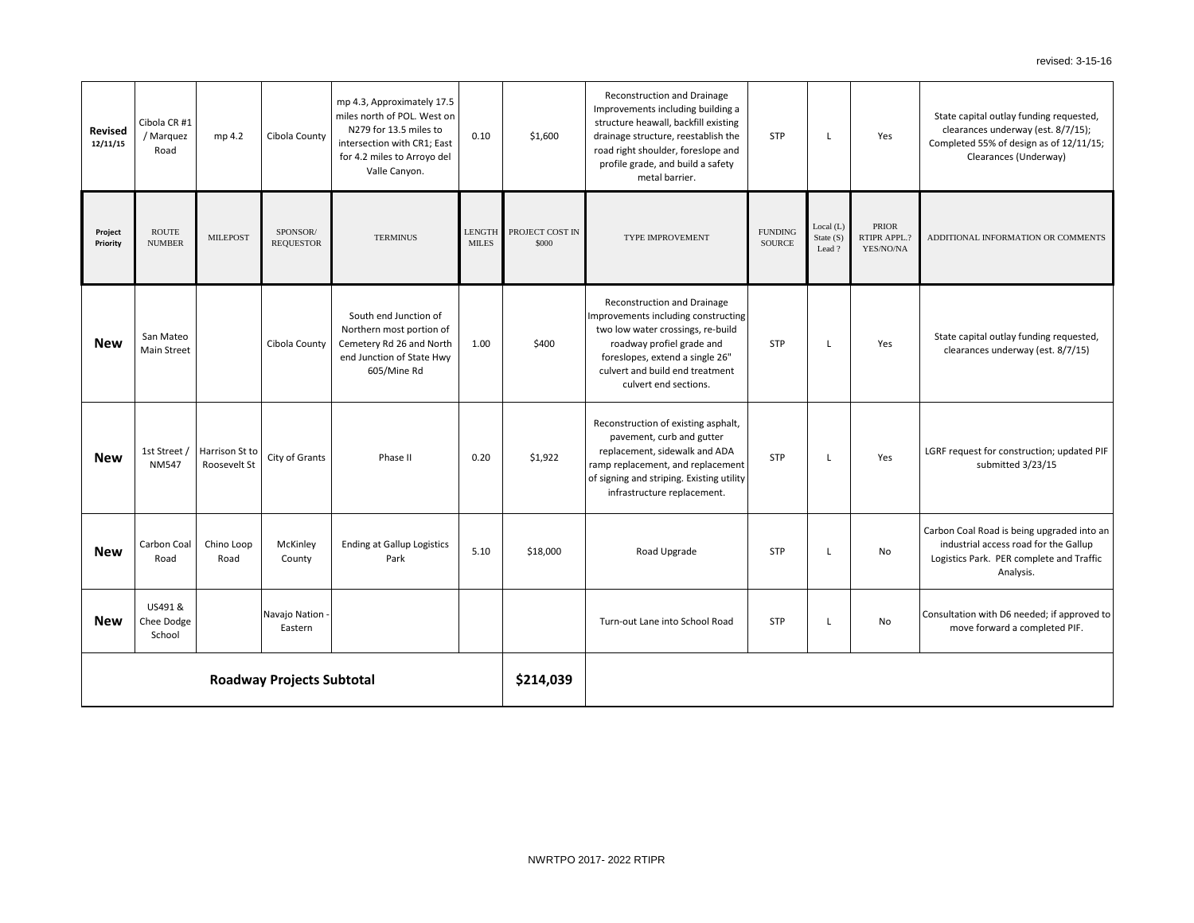| <b>Revised</b><br>12/11/15 | Cibola CR #1<br>/ Marquez<br>Road | mp 4.2                         | Cibola County                | mp 4.3, Approximately 17.5<br>miles north of POL. West on<br>N279 for 13.5 miles to<br>intersection with CR1; East<br>for 4.2 miles to Arroyo del | 0.10                          | \$1,600                  | <b>Reconstruction and Drainage</b><br>Improvements including building a<br>structure heawall, backfill existing<br>drainage structure, reestablish the<br>road right shoulder, foreslope and<br>profile grade, and build a safety          | <b>STP</b>                      | L                               | Yes                                | Sta <sup>-</sup><br>cl<br>Com |
|----------------------------|-----------------------------------|--------------------------------|------------------------------|---------------------------------------------------------------------------------------------------------------------------------------------------|-------------------------------|--------------------------|--------------------------------------------------------------------------------------------------------------------------------------------------------------------------------------------------------------------------------------------|---------------------------------|---------------------------------|------------------------------------|-------------------------------|
| Project<br>Priority        | <b>ROUTE</b><br><b>NUMBER</b>     | <b>MILEPOST</b>                | SPONSOR/<br><b>REQUESTOR</b> | Valle Canyon.<br><b>TERMINUS</b>                                                                                                                  | <b>LENGTH</b><br><b>MILES</b> | PROJECT COST IN<br>\$000 | metal barrier.<br>TYPE IMPROVEMENT                                                                                                                                                                                                         | <b>FUNDING</b><br><b>SOURCE</b> | Local (L)<br>State (S)<br>Lead? | PRIOR<br>RTIPR APPL.?<br>YES/NO/NA | <b>ADDI</b>                   |
| <b>New</b>                 | San Mateo<br>Main Street          |                                | Cibola County                | South end Junction of<br>Northern most portion of<br>Cemetery Rd 26 and North<br>end Junction of State Hwy<br>605/Mine Rd                         | 1.00                          | \$400                    | <b>Reconstruction and Drainage</b><br>Improvements including constructing<br>two low water crossings, re-build<br>roadway profiel grade and<br>foreslopes, extend a single 26"<br>culvert and build end treatment<br>culvert end sections. | <b>STP</b>                      | L                               | Yes                                | <b>Sta</b><br>c               |
| <b>New</b>                 | 1st Street /<br><b>NM547</b>      | Harrison St to<br>Roosevelt St | City of Grants               | Phase II                                                                                                                                          | 0.20                          | \$1,922                  | Reconstruction of existing asphalt,<br>pavement, curb and gutter<br>replacement, sidewalk and ADA<br>ramp replacement, and replacement<br>of signing and striping. Existing utility<br>infrastructure replacement.                         | <b>STP</b>                      | L                               | Yes                                | LGRF                          |
| <b>New</b>                 | Carbon Coal<br>Road               | Chino Loop<br>Road             | McKinley<br>County           | <b>Ending at Gallup Logistics</b><br>Park                                                                                                         | 5.10                          | \$18,000                 | Road Upgrade                                                                                                                                                                                                                               | <b>STP</b>                      |                                 | No                                 | Carbo<br>in<br>Logi           |
| <b>New</b>                 | US491 &<br>Chee Dodge<br>School   |                                | Navajo Nation -<br>Eastern   |                                                                                                                                                   |                               |                          | Turn-out Lane into School Road                                                                                                                                                                                                             | <b>STP</b>                      | L                               | No                                 | Consu                         |
|                            | <b>Roadway Projects Subtotal</b>  |                                |                              |                                                                                                                                                   |                               |                          |                                                                                                                                                                                                                                            |                                 |                                 |                                    |                               |

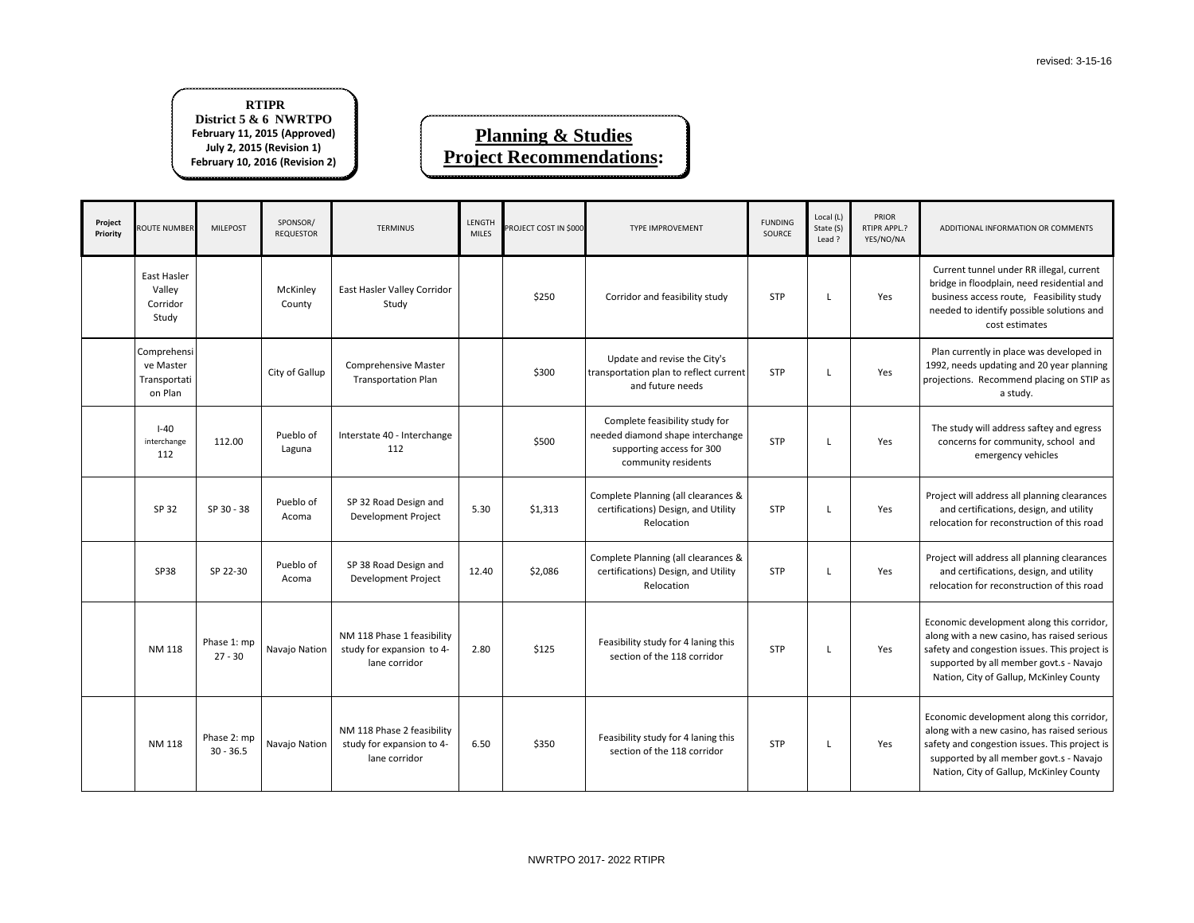**DDITIONAL INFORMATION OR COMMENTS** 

rrent tunnel under RR illegal, current ge in floodplain, need residential and iness access route, Feasibility study ded to identify possible solutions and cost estimates

currently in place was developed in needs updating and 20 year planning ctions. Recommend placing on STIP as a study.

study will address saftey and egress oncerns for community, school and emergency vehicles

ect will address all planning clearances nd certifications, design, and utility cation for reconstruction of this road

ect will address all planning clearances nd certifications, design, and utility cation for reconstruction of this road

omic development along this corridor, with a new casino, has raised serious and congestion issues. This project is sorted by all member govt.s - Navajo ion, City of Gallup, McKinley County

omic development along this corridor, with a new casino, has raised serious and congestion issues. This project is sorted by all member govt.s - Navajo ion, City of Gallup, McKinley County

| Project<br>Priority | <b>ROUTE NUMBER</b>                                 | <b>MILEPOST</b>            | SPONSOR/<br><b>REQUESTOR</b> | <b>TERMINUS</b>                                                          | <b>LENGTH</b><br><b>MILES</b> | PROJECT COST IN \$000 | <b>TYPE IMPROVEMENT</b>                                                                                                | <b>FUNDING</b><br><b>SOURCE</b> | Local (L)<br>State (S)<br>Lead ? | PRIOR<br>RTIPR APPL.?<br>YES/NO/NA | <b>AC</b>                               |
|---------------------|-----------------------------------------------------|----------------------------|------------------------------|--------------------------------------------------------------------------|-------------------------------|-----------------------|------------------------------------------------------------------------------------------------------------------------|---------------------------------|----------------------------------|------------------------------------|-----------------------------------------|
|                     | East Hasler<br>Valley<br>Corridor<br>Study          |                            | McKinley<br>County           | East Hasler Valley Corridor<br>Study                                     |                               | \$250                 | Corridor and feasibility study                                                                                         | <b>STP</b>                      | L                                | Yes                                | Cur<br>bridg<br>busi<br>need            |
|                     | Comprehensi<br>ve Master<br>Transportati<br>on Plan |                            | City of Gallup               | <b>Comprehensive Master</b><br><b>Transportation Plan</b>                |                               | \$300                 | Update and revise the City's<br>transportation plan to reflect current<br>and future needs                             | <b>STP</b>                      | L.                               | Yes                                | Plan<br>1992,<br>projec                 |
|                     | $I-40$<br>interchange<br>112                        | 112.00                     | Pueblo of<br>Laguna          | Interstate 40 - Interchange<br>112                                       |                               | \$500                 | Complete feasibility study for<br>needed diamond shape interchange<br>supporting access for 300<br>community residents | <b>STP</b>                      | L                                | Yes                                | The<br>$\mathsf{co}$                    |
|                     | SP 32                                               | SP 30 - 38                 | Pueblo of<br>Acoma           | SP 32 Road Design and<br>Development Project                             | 5.30                          | \$1,313               | Complete Planning (all clearances &<br>certifications) Design, and Utility<br>Relocation                               | <b>STP</b>                      | L                                | Yes                                | Proje<br>ar<br>reloo                    |
|                     | <b>SP38</b>                                         | SP 22-30                   | Pueblo of<br>Acoma           | SP 38 Road Design and<br>Development Project                             | 12.40                         | \$2,086               | Complete Planning (all clearances &<br>certifications) Design, and Utility<br>Relocation                               | <b>STP</b>                      | L                                | Yes                                | Proje<br>ar<br>reloo                    |
|                     | <b>NM 118</b>                                       | Phase 1: mp<br>$27 - 30$   | Navajo Nation                | NM 118 Phase 1 feasibility<br>study for expansion to 4-<br>lane corridor | 2.80                          | \$125                 | Feasibility study for 4 laning this<br>section of the 118 corridor                                                     | <b>STP</b>                      | L                                | Yes                                | Econd<br>along<br>safety<br>supp<br>Nat |
|                     | NM 118                                              | Phase 2: mp<br>$30 - 36.5$ | Navajo Nation                | NM 118 Phase 2 feasibility<br>study for expansion to 4-<br>lane corridor | 6.50                          | \$350                 | Feasibility study for 4 laning this<br>section of the 118 corridor                                                     | <b>STP</b>                      | L                                | Yes                                | Econd<br>along<br>safety<br>supp<br>Nat |

### **Planning & Studies Project Recommendations:**

#### **RTIPR District 5 & 6 NWRTPO February 11, 2015 (Approved) July 2, 2015 (Revision 1) February 10, 2016 (Revision 2)**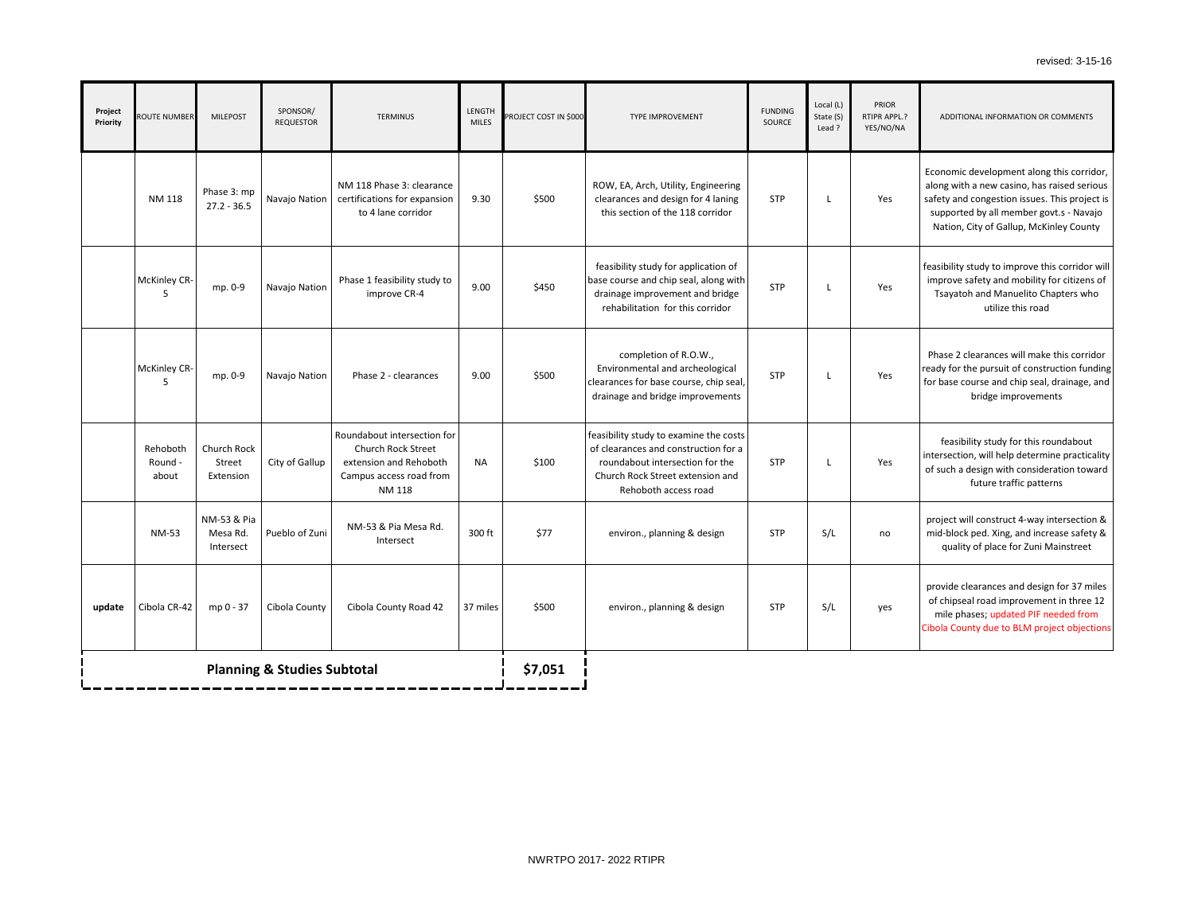**DITIONAL INFORMATION OR COMMENTS** 

omic development along this corridor, with a new casino, has raised serious and congestion issues. This project is oorted by all member govt.s - Navajo ion, City of Gallup, McKinley County

ility study to improve this corridor will ove safety and mobility for citizens of watoh and Manuelito Chapters who utilize this road

e 2 clearances will make this corridor for the pursuit of construction funding se course and chip seal, drainage, and bridge improvements

asibility study for this roundabout ection, will help determine practicality ch a design with consideration toward future traffic patterns

ect will construct 4-way intersection & olock ped. Xing, and increase safety & uality of place for Zuni Mainstreet

de clearances and design for 37 miles ipseal road improvement in three 12 e phases; updated PIF needed from County due to BLM project objections

| Project<br>Priority | ROUTE NUMBER                 | <b>MILEPOST</b>                      | SPONSOR/<br><b>REQUESTOR</b>           | <b>TERMINUS</b>                                                                                                  | LENGTH<br><b>MILES</b> | PROJECT COST IN \$000 | <b>TYPE IMPROVEMENT</b>                                                                                                                                                       | <b>FUNDING</b><br><b>SOURCE</b> | Local (L)<br>State (S)<br>Lead? | PRIOR<br>RTIPR APPL.?<br>YES/NO/NA | AD                                       |
|---------------------|------------------------------|--------------------------------------|----------------------------------------|------------------------------------------------------------------------------------------------------------------|------------------------|-----------------------|-------------------------------------------------------------------------------------------------------------------------------------------------------------------------------|---------------------------------|---------------------------------|------------------------------------|------------------------------------------|
|                     | NM 118                       | Phase 3: mp<br>$27.2 - 36.5$         | Navajo Nation                          | NM 118 Phase 3: clearance<br>certifications for expansion<br>to 4 lane corridor                                  | 9.30                   | \$500                 | ROW, EA, Arch, Utility, Engineering<br>clearances and design for 4 laning<br>this section of the 118 corridor                                                                 | <b>STP</b>                      | $\mathsf{L}$                    | Yes                                | Econc<br>along<br>safety<br>supp<br>Nati |
|                     | <b>McKinley CR-</b><br>5     | mp. 0-9                              | Navajo Nation                          | Phase 1 feasibility study to<br>improve CR-4                                                                     | 9.00                   | \$450                 | feasibility study for application of<br>base course and chip seal, along with<br>drainage improvement and bridge<br>rehabilitation for this corridor                          | <b>STP</b>                      | L                               | Yes                                | feasib<br>impro<br>Tsa <sup></sup>       |
|                     | McKinley CR-<br>5            | mp. 0-9                              | Navajo Nation                          | Phase 2 - clearances                                                                                             | 9.00                   | \$500                 | completion of R.O.W.,<br>Environmental and archeological<br>clearances for base course, chip seal,<br>drainage and bridge improvements                                        | <b>STP</b>                      | L                               | Yes                                | Phase<br>ready i<br>for ba               |
|                     | Rehoboth<br>Round -<br>about | Church Rock<br>Street<br>Extension   | City of Gallup                         | Roundabout intersection for<br>Church Rock Street<br>extension and Rehoboth<br>Campus access road from<br>NM 118 | <b>NA</b>              | \$100                 | feasibility study to examine the costs<br>of clearances and construction for a<br>roundabout intersection for the<br>Church Rock Street extension and<br>Rehoboth access road | <b>STP</b>                      | L                               | Yes                                | fe<br>inters<br>of suc                   |
|                     | <b>NM-53</b>                 | NM-53 & Pia<br>Mesa Rd.<br>Intersect | Pueblo of Zuni                         | NM-53 & Pia Mesa Rd.<br>Intersect                                                                                | 300 ft                 | \$77                  | environ., planning & design                                                                                                                                                   | <b>STP</b>                      | S/L                             | no                                 | proje<br>mid-b<br>qı                     |
| update              | Cibola CR-42                 | mp 0 - 37                            | Cibola County                          | Cibola County Road 42                                                                                            | 37 miles               | \$500                 | environ., planning & design                                                                                                                                                   | <b>STP</b>                      | S/L                             | yes                                | provi<br>of ch<br>mile<br>Cibola         |
|                     |                              |                                      | <b>Planning &amp; Studies Subtotal</b> |                                                                                                                  |                        | \$7,051               |                                                                                                                                                                               |                                 |                                 |                                    |                                          |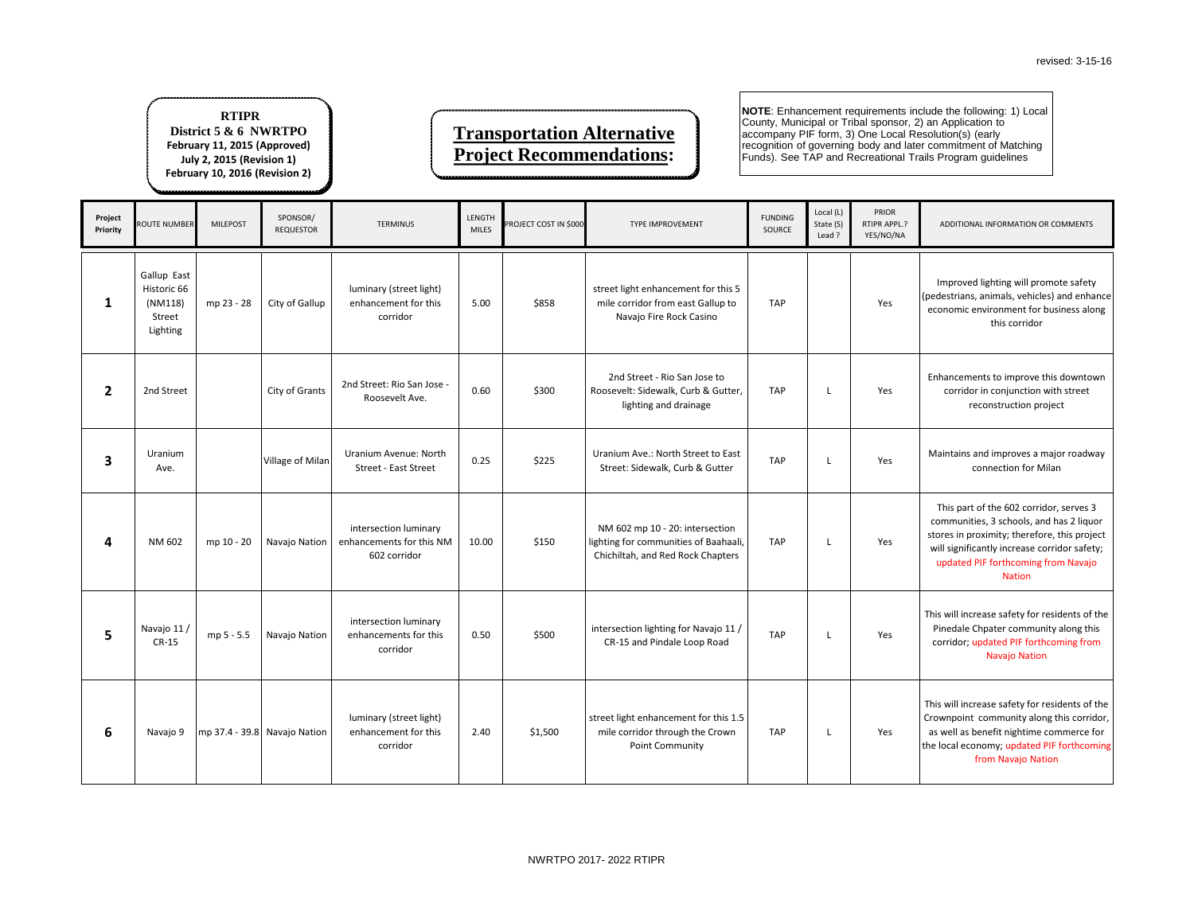DDITIONAL INFORMATION OR COMMENTS

Iproved lighting will promote safety estrians, animals, vehicles) and enhance nomic environment for business along this corridor

ancements to improve this downtown corridor in conjunction with street reconstruction project

ntains and improves a major roadway connection for Milan

his part of the 602 corridor, serves 3 nmunities, 3 schools, and has 2 liquor es in proximity; therefore, this project significantly increase corridor safety; odated PIF forthcoming from Navajo Nation

will increase safety for residents of the edale Chpater community along this ridor; updated PIF forthcoming from Navajo Nation

| Project<br>Priority | <b>ROUTE NUMBER</b>                                         | <b>MILEPOST</b> | SPONSOR/<br><b>REQUESTOR</b> | <b>TERMINUS</b>                                                   | LENGTH<br><b>MILES</b> | PROJECT COST IN \$000 | <b>TYPE IMPROVEMENT</b>                                                                                       | <b>FUNDING</b><br>SOURCE | Local (L)<br>State (S)<br>Lead ? | PRIOR<br>RTIPR APPL.?<br>YES/NO/NA | AI                               |
|---------------------|-------------------------------------------------------------|-----------------|------------------------------|-------------------------------------------------------------------|------------------------|-----------------------|---------------------------------------------------------------------------------------------------------------|--------------------------|----------------------------------|------------------------------------|----------------------------------|
| $\mathbf{1}$        | Gallup East<br>Historic 66<br>(NM118)<br>Street<br>Lighting | mp 23 - 28      | City of Gallup               | luminary (street light)<br>enhancement for this<br>corridor       | 5.00                   | \$858                 | street light enhancement for this 5<br>mile corridor from east Gallup to<br>Navajo Fire Rock Casino           | <b>TAP</b>               |                                  | Yes                                | Im<br>(pede<br>econ              |
| $\overline{2}$      | 2nd Street                                                  |                 | City of Grants               | 2nd Street: Rio San Jose -<br>Roosevelt Ave.                      | 0.60                   | \$300                 | 2nd Street - Rio San Jose to<br>Roosevelt: Sidewalk, Curb & Gutter,<br>lighting and drainage                  | <b>TAP</b>               | L                                | Yes                                | Enha                             |
| 3                   | Uranium<br>Ave.                                             |                 | Village of Milan             | Uranium Avenue: North<br><b>Street - East Street</b>              | 0.25                   | \$225                 | Uranium Ave.: North Street to East<br>Street: Sidewalk, Curb & Gutter                                         | <b>TAP</b>               | L                                | Yes                                | Mair                             |
| 4                   | NM 602                                                      | mp 10 - 20      | Navajo Nation                | intersection luminary<br>enhancements for this NM<br>602 corridor | 10.00                  | \$150                 | NM 602 mp 10 - 20: intersection<br>lighting for communities of Baahaali,<br>Chichiltah, and Red Rock Chapters | <b>TAP</b>               | L                                | Yes                                | Th<br>com<br>store<br>will<br>up |
| 5                   | Navajo 11 /<br>$CR-15$                                      | mp 5 - 5.5      | Navajo Nation                | intersection luminary<br>enhancements for this<br>corridor        | 0.50                   | \$500                 | intersection lighting for Navajo 11 /<br>CR-15 and Pindale Loop Road                                          | <b>TAP</b>               | L                                | Yes                                | This v<br>Pin<br>cor             |
| 6                   | Navajo 9                                                    |                 | mp 37.4 - 39.8 Navajo Nation | luminary (street light)<br>enhancement for this<br>corridor       | 2.40                   | \$1,500               | street light enhancement for this 1.5<br>mile corridor through the Crown<br>Point Community                   | <b>TAP</b>               | L.                               | Yes                                | This v<br>Crow<br>as w<br>the lo |

will increase safety for residents of the mpoint community along this corridor, vell as benefit nightime commerce for cal economy; updated PIF forthcoming from Navajo Nation

### **Transportation Alternative Project Recommendations:**

**NOTE**: Enhancement requirements include the following: 1) Local County, Municipal or Tribal sponsor, 2) an Application to accompany PIF form, 3) One Local Resolution(s) (early recognition of governing body and later commitment of Matching Funds). See TAP and Recreational Trails Program guidelines

#### **RTIPR District 5 & 6 NWRTPO February 11, 2015 (Approved) July 2, 2015 (Revision 1) February 10, 2016 (Revision 2)**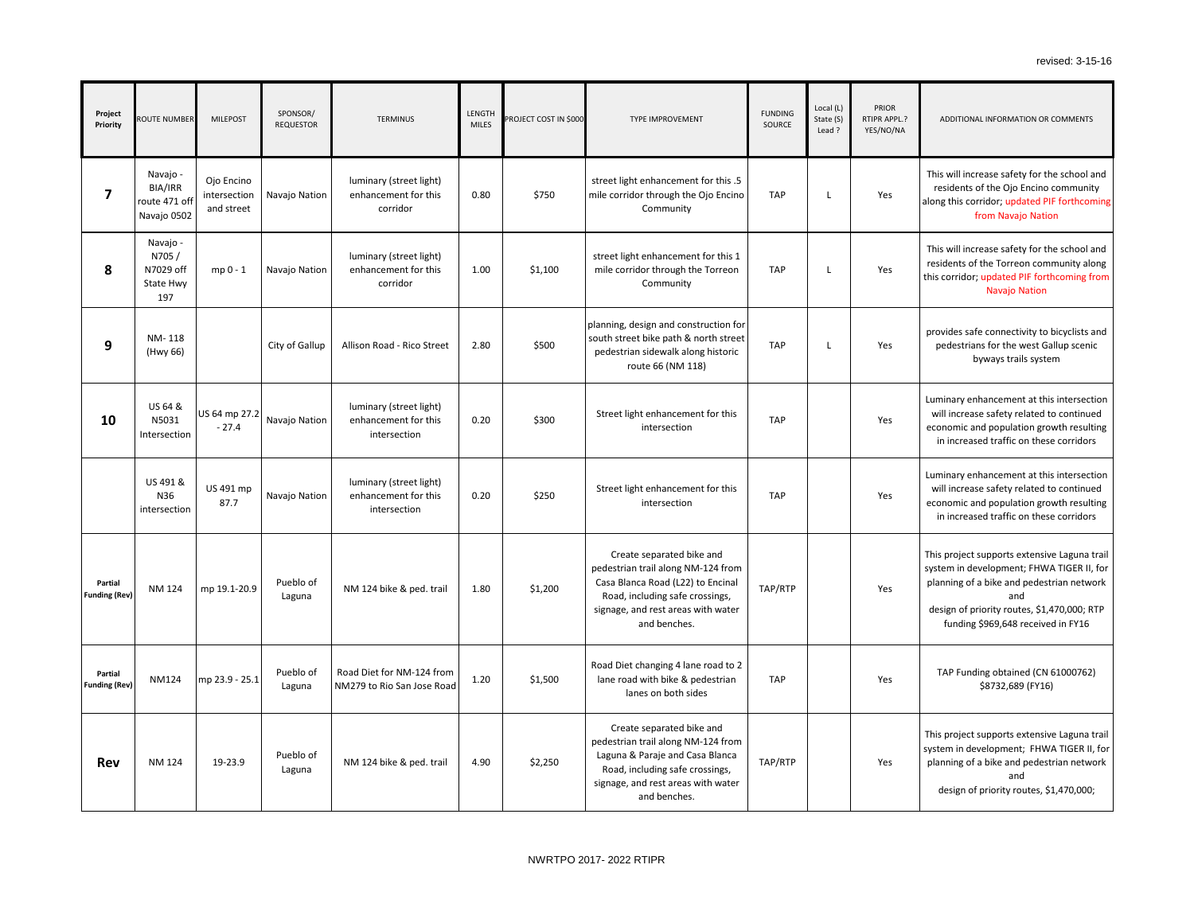**DITIONAL INFORMATION OR COMMENTS** 

will increase safety for the school and dents of the Ojo Encino community this corridor; updated PIF forthcoming from Navajo Nation

will increase safety for the school and ents of the Torreon community along orridor; updated PIF forthcoming from Navajo Nation

des safe connectivity to bicyclists and destrians for the west Gallup scenic byways trails system

nary enhancement at this intersection increase safety related to continued omic and population growth resulting increased traffic on these corridors

ary enhancement at this intersection increase safety related to continued omic and population growth resulting increased traffic on these corridors

roject supports extensive Laguna trail n in development; FHWA TIGER II, for iing of a bike and pedestrian network and

gn of priority routes, \$1,470,000; RTP unding \$969,648 received in FY16

P Funding obtained (CN 61000762) \$8732,689 (FY16)

roject supports extensive Laguna trail m in development; FHWA TIGER II, for ing of a bike and pedestrian network and sign of priority routes, \$1,470,000;

| Project<br>Priority             | ROUTE NUMBER                                               | <b>MILEPOST</b>                          | SPONSOR/<br><b>REQUESTOR</b> | <b>TERMINUS</b>                                                 | LENGTH<br><b>MILES</b> | PROJECT COST IN \$000 | <b>TYPE IMPROVEMENT</b>                                                                                                                                                                       | <b>FUNDING</b><br>SOURCE | Local (L)<br>State (S)<br>Lead? | PRIOR<br>RTIPR APPL.?<br>YES/NO/NA | AD                                        |
|---------------------------------|------------------------------------------------------------|------------------------------------------|------------------------------|-----------------------------------------------------------------|------------------------|-----------------------|-----------------------------------------------------------------------------------------------------------------------------------------------------------------------------------------------|--------------------------|---------------------------------|------------------------------------|-------------------------------------------|
| $\overline{\mathbf{z}}$         | Navajo -<br><b>BIA/IRR</b><br>route 471 off<br>Navajo 0502 | Ojo Encino<br>intersection<br>and street | Navajo Nation                | luminary (street light)<br>enhancement for this<br>corridor     | 0.80                   | \$750                 | street light enhancement for this .5<br>mile corridor through the Ojo Encino<br>Community                                                                                                     | <b>TAP</b>               | L                               | Yes                                | This w<br>resi<br>along t                 |
| 8                               | Navajo -<br>N705/<br>N7029 off<br>State Hwy<br>197         | mp 0 - 1                                 | Navajo Nation                | luminary (street light)<br>enhancement for this<br>corridor     | 1.00                   | \$1,100               | street light enhancement for this 1<br>mile corridor through the Torreon<br>Community                                                                                                         | <b>TAP</b>               | L                               | Yes                                | This w<br>reside<br>this co               |
| 9                               | NM-118<br>(Hwy 66)                                         |                                          | City of Gallup               | Allison Road - Rico Street                                      | 2.80                   | \$500                 | planning, design and construction for<br>south street bike path & north street<br>pedestrian sidewalk along historic<br>route 66 (NM 118)                                                     | <b>TAP</b>               | L                               | Yes                                | provid<br>ped                             |
| 10                              | US 64 &<br>N5031<br>Intersection                           | US 64 mp 27.2<br>$-27.4$                 | Navajo Nation                | luminary (street light)<br>enhancement for this<br>intersection | 0.20                   | \$300                 | Street light enhancement for this<br>intersection                                                                                                                                             | <b>TAP</b>               |                                 | Yes                                | Lumin<br>will i<br>econd<br>in i          |
|                                 | US 491 &<br>N36<br>intersection                            | US 491 mp<br>87.7                        | Navajo Nation                | luminary (street light)<br>enhancement for this<br>intersection | 0.20                   | \$250                 | Street light enhancement for this<br>intersection                                                                                                                                             | <b>TAP</b>               |                                 | Yes                                | Lumin<br>will i<br>econd<br>in i          |
| Partial<br><b>Funding (Rev)</b> | <b>NM 124</b>                                              | mp 19.1-20.9                             | Pueblo of<br>Laguna          | NM 124 bike & ped. trail                                        | 1.80                   | \$1,200               | Create separated bike and<br>pedestrian trail along NM-124 from<br>Casa Blanca Road (L22) to Encinal<br>Road, including safe crossings,<br>signage, and rest areas with water<br>and benches. | TAP/RTP                  |                                 | Yes                                | This pr<br>systen<br>plann<br>desig<br>fι |
| Partial<br><b>Funding (Rev)</b> | <b>NM124</b>                                               | mp 23.9 - 25.1                           | Pueblo of<br>Laguna          | Road Diet for NM-124 from<br>NM279 to Rio San Jose Road         | 1.20                   | \$1,500               | Road Diet changing 4 lane road to 2<br>lane road with bike & pedestrian<br>lanes on both sides                                                                                                | <b>TAP</b>               |                                 | Yes                                | <b>TAI</b>                                |
| <b>Rev</b>                      | <b>NM 124</b>                                              | 19-23.9                                  | Pueblo of<br>Laguna          | NM 124 bike & ped. trail                                        | 4.90                   | \$2,250               | Create separated bike and<br>pedestrian trail along NM-124 from<br>Laguna & Paraje and Casa Blanca<br>Road, including safe crossings,<br>signage, and rest areas with water<br>and benches.   | TAP/RTP                  |                                 | Yes                                | This pr<br>system<br>plann<br>des         |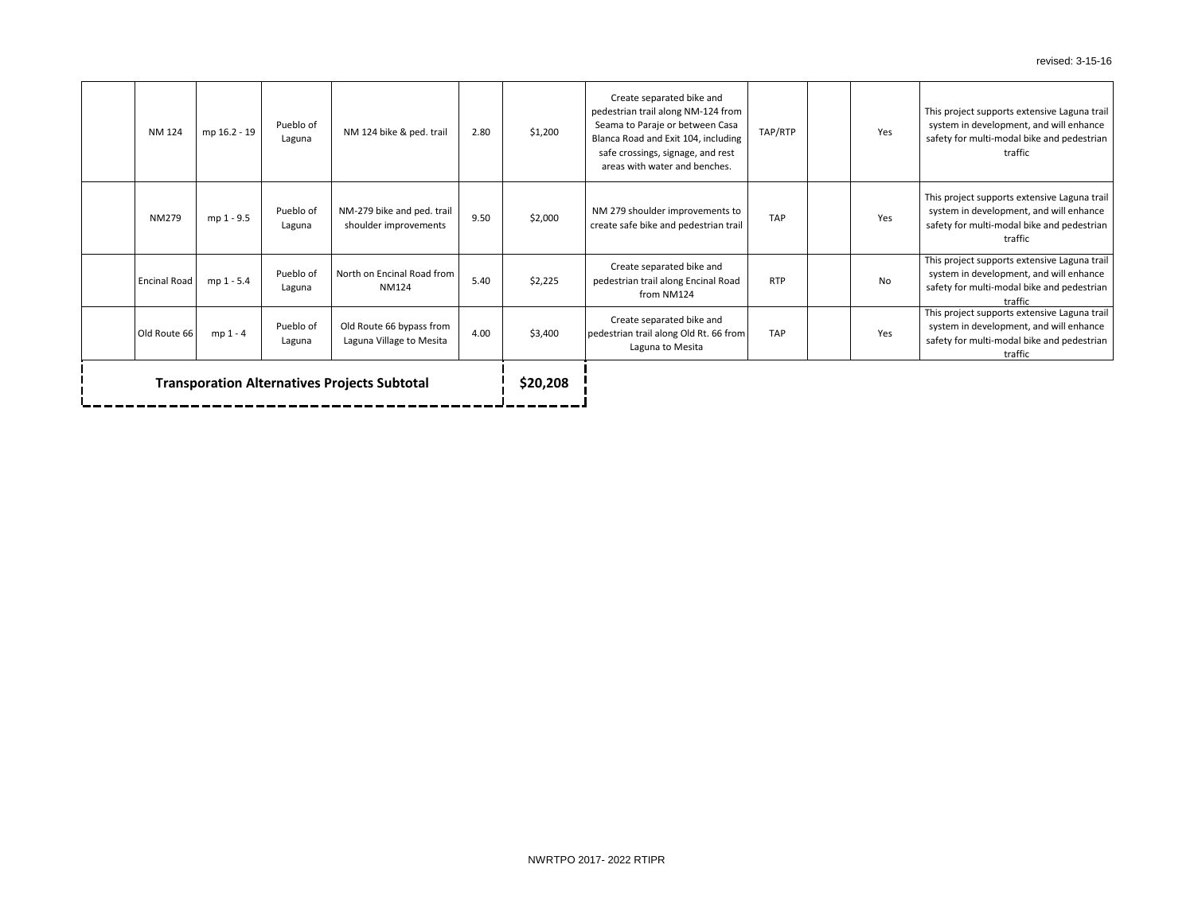roject supports extensive Laguna trail em in development, and will enhance y for multi-modal bike and pedestrian traffic

roject supports extensive Laguna trail em in development, and will enhance  $y$  for multi-modal bike and pedestrian traffic

roject supports extensive Laguna trail em in development, and will enhance y for multi-modal bike and pedestrian traffic

oroject supports extensive Laguna trail em in development, and will enhance y for multi-modal bike and pedestrian traffic

| Old Route 66  | mp 1 - 4     | Pueblo of<br>Laguna | Old Route 66 bypass from<br>Laguna Village to Mesita | 4.00 | \$3,400 | Create separated bike and<br>pedestrian trail along Old Rt. 66 from<br>Laguna to Mesita                                                                                                                         | <b>TAP</b> | Yes       | This p<br>syste<br>safety |
|---------------|--------------|---------------------|------------------------------------------------------|------|---------|-----------------------------------------------------------------------------------------------------------------------------------------------------------------------------------------------------------------|------------|-----------|---------------------------|
|               |              |                     |                                                      |      |         |                                                                                                                                                                                                                 |            |           |                           |
| Encinal Road  | mp 1 - 5.4   | Pueblo of<br>Laguna | North on Encinal Road from<br><b>NM124</b>           | 5.40 | \$2,225 | Create separated bike and<br>pedestrian trail along Encinal Road<br>from NM124                                                                                                                                  | <b>RTP</b> | <b>No</b> | This p<br>syste<br>safety |
| <b>NM279</b>  | mp 1 - 9.5   | Pueblo of<br>Laguna | NM-279 bike and ped. trail<br>shoulder improvements  | 9.50 | \$2,000 | NM 279 shoulder improvements to<br>create safe bike and pedestrian trail                                                                                                                                        | <b>TAP</b> | Yes       | This p<br>syste<br>safety |
| <b>NM 124</b> | mp 16.2 - 19 | Pueblo of<br>Laguna | NM 124 bike & ped. trail                             | 2.80 | \$1,200 | Create separated bike and<br>pedestrian trail along NM-124 from<br>Seama to Paraje or between Casa<br>Blanca Road and Exit 104, including<br>safe crossings, signage, and rest<br>areas with water and benches. | TAP/RTP    | Yes       | This p<br>syste<br>safety |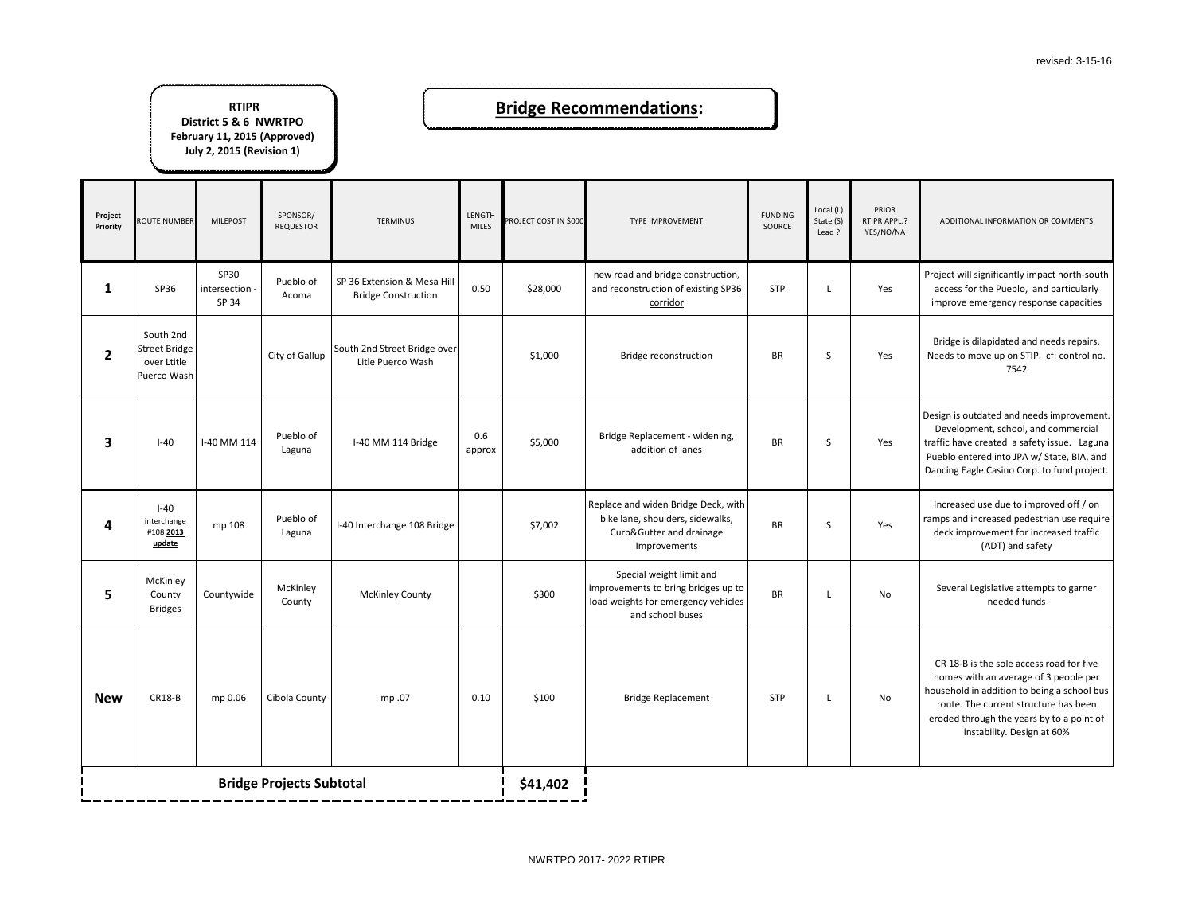**DDITIONAL INFORMATION OR COMMENTS** ct will significantly impact north-south cess for the Pueblo, and particularly irove emergency response capacities dge is dilapidated and needs repairs. ds to move up on STIP. cf: control no. 7542 n is outdated and needs improvement. velopment, school, and commercial have created a safety issue. Laguna lo entered into JPA w/ State, BIA, and ing Eagle Casino Corp. to fund project. reased use due to improved off / on and increased pedestrian use require ck improvement for increased traffic (ADT) and safety veral Legislative attempts to garner needed funds  $\Omega$  18-B is the sole access road for five mes with an average of 3 people per

ehold in addition to being a school bus ute. The current structure has been ded through the years by to a point of instability. Design at 60%

| Project<br>Priority | <b>ROUTE NUMBER</b>                                      | <b>MILEPOST</b>                 | SPONSOR/<br><b>REQUESTOR</b> | <b>TERMINUS</b>                                           | LENGTH<br><b>MILES</b> | PROJECT COST IN \$000 | TYPE IMPROVEMENT                                                                                                           | <b>FUNDING</b><br>SOURCE | Local (L)<br>State (S)<br>Lead ? | PRIOR<br>RTIPR APPL.?<br>YES/NO/NA | AD                                               |
|---------------------|----------------------------------------------------------|---------------------------------|------------------------------|-----------------------------------------------------------|------------------------|-----------------------|----------------------------------------------------------------------------------------------------------------------------|--------------------------|----------------------------------|------------------------------------|--------------------------------------------------|
| $\mathbf{1}$        | SP36                                                     | SP30<br>intersection -<br>SP 34 | Pueblo of<br>Acoma           | SP 36 Extension & Mesa Hill<br><b>Bridge Construction</b> | 0.50                   | \$28,000              | new road and bridge construction,<br>and reconstruction of existing SP36<br>corridor                                       | <b>STP</b>               | L                                | Yes                                | Projeo<br>acc<br>imp                             |
| $\overline{2}$      | South 2nd<br>Street Bridge<br>over Ltitle<br>Puerco Wash |                                 | City of Gallup               | South 2nd Street Bridge over<br>Litle Puerco Wash         |                        | \$1,000               | Bridge reconstruction                                                                                                      | <b>BR</b>                | S                                | Yes                                | <b>Bric</b><br>Need                              |
| 3                   | $I-40$                                                   | I-40 MM 114                     | Pueblo of<br>Laguna          | I-40 MM 114 Bridge                                        | 0.6<br>approx          | \$5,000               | Bridge Replacement - widening,<br>addition of lanes                                                                        | <b>BR</b>                | S                                | Yes                                | Desigr<br><b>Dev</b><br>traffic<br>Pueb<br>Danci |
| 4                   | $I-40$<br>interchange<br>#108 2013<br>update             | mp 108                          | Pueblo of<br>Laguna          | I-40 Interchange 108 Bridge                               |                        | \$7,002               | Replace and widen Bridge Deck, with<br>bike lane, shoulders, sidewalks,<br>Curb&Gutter and drainage<br>Improvements        | <b>BR</b>                | $\sf S$                          | Yes                                | Incr<br>ramps<br>dec                             |
| 5                   | McKinley<br>County<br><b>Bridges</b>                     | Countywide                      | McKinley<br>County           | <b>McKinley County</b>                                    |                        | \$300                 | Special weight limit and<br>improvements to bring bridges up to<br>load weights for emergency vehicles<br>and school buses | <b>BR</b>                | L                                | No                                 | Sey                                              |
| <b>New</b>          | <b>CR18-B</b>                                            | mp 0.06                         | Cibola County                | mp.07                                                     | 0.10                   | \$100                 | <b>Bridge Replacement</b>                                                                                                  | <b>STP</b>               | L                                | No                                 | CR<br>hon<br>house<br>rou<br>erod                |
|                     | <b>Bridge Projects Subtotal</b>                          |                                 |                              |                                                           |                        | \$41,402              |                                                                                                                            |                          |                                  |                                    |                                                  |

### **Bridge Recommendations:**

#### **RTIPR**

**District 5 & 6 NWRTPO February 11, 2015 (Approved) July 2, 2015 (Revision 1)**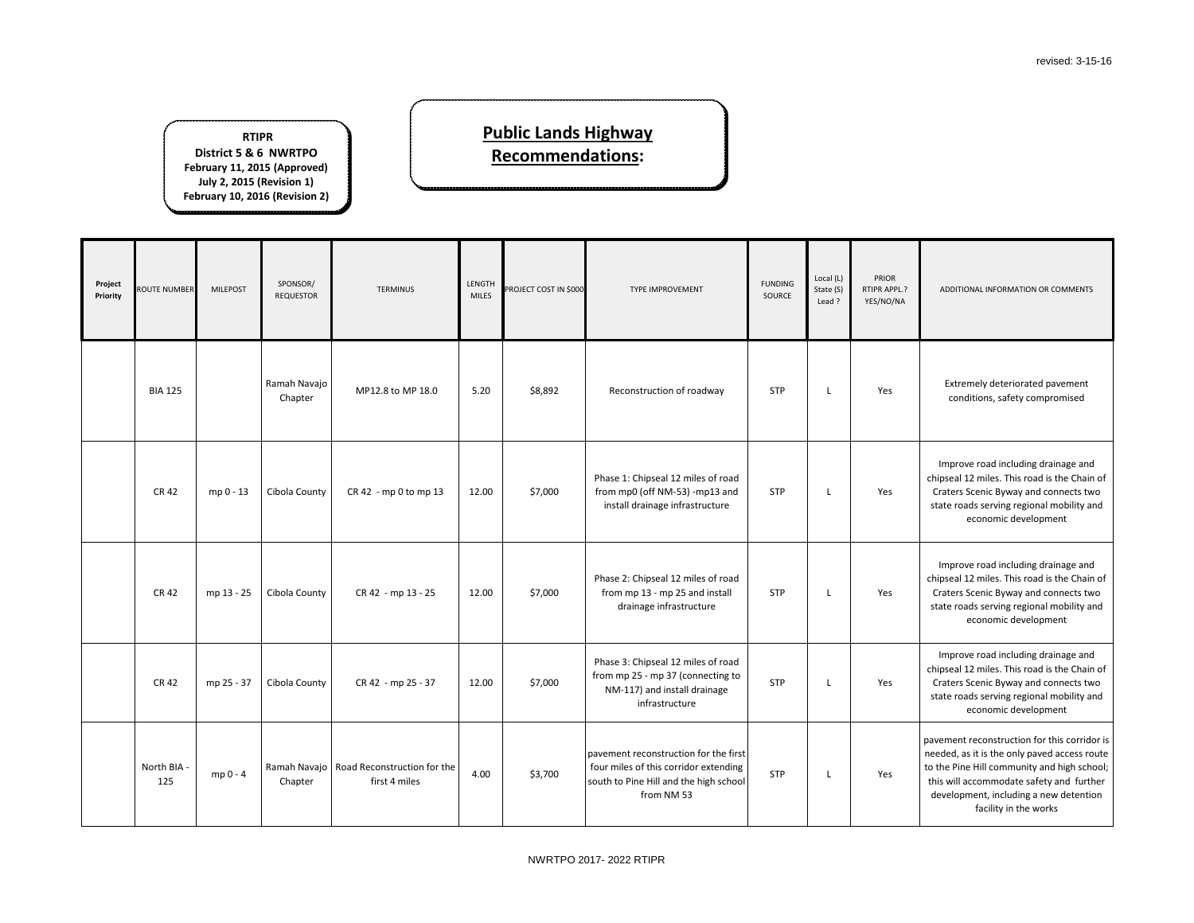DDITIONAL INFORMATION OR COMMENTS

Extremely deteriorated pavement conditions, safety compromised

nprove road including drainage and seal 12 miles. This road is the Chain of aters Scenic Byway and connects two te roads serving regional mobility and economic development

Improve road including drainage and seal 12 miles. This road is the Chain of aters Scenic Byway and connects two te roads serving regional mobility and economic development

| Project<br>Priority | <b>ROUTE NUMBER</b> | <b>MILEPOST</b> | SPONSOR/<br><b>REQUESTOR</b> | <b>TERMINUS</b>                                             | LENGTH<br><b>MILES</b> | PROJECT COST IN \$000 | <b>TYPE IMPROVEMENT</b>                                                                                                                | <b>FUNDING</b><br>SOURCE | Local (L)<br>State (S)<br>Lead ? | PRIOR<br>RTIPR APPL.?<br>YES/NO/NA | $\mathsf{A}$                           |
|---------------------|---------------------|-----------------|------------------------------|-------------------------------------------------------------|------------------------|-----------------------|----------------------------------------------------------------------------------------------------------------------------------------|--------------------------|----------------------------------|------------------------------------|----------------------------------------|
|                     | <b>BIA 125</b>      |                 | Ramah Navajo<br>Chapter      | MP12.8 to MP 18.0                                           | 5.20                   | \$8,892               | Reconstruction of roadway                                                                                                              | <b>STP</b>               | L                                | Yes                                |                                        |
|                     | <b>CR 42</b>        | mp 0 - 13       | Cibola County                | CR 42 - mp 0 to mp 13                                       | 12.00                  | \$7,000               | Phase 1: Chipseal 12 miles of road<br>from mp0 (off NM-53) -mp13 and<br>install drainage infrastructure                                | <b>STP</b>               | L                                | Yes                                | In<br>chip:<br>Cra<br>stat             |
|                     | <b>CR 42</b>        | mp 13 - 25      | Cibola County                | CR 42 - mp 13 - 25                                          | 12.00                  | \$7,000               | Phase 2: Chipseal 12 miles of road<br>from mp 13 - mp 25 and install<br>drainage infrastructure                                        | <b>STP</b>               | L                                | Yes                                | In<br>chip:<br>Cra<br>stat             |
|                     | <b>CR 42</b>        | mp 25 - 37      | Cibola County                | CR 42 - mp 25 - 37                                          | 12.00                  | \$7,000               | Phase 3: Chipseal 12 miles of road<br>from mp 25 - mp 37 (connecting to<br>NM-117) and install drainage<br>infrastructure              | <b>STP</b>               | L                                | Yes                                | In<br>chip:<br>Cra<br>stat             |
|                     | North BIA -<br>125  | mp 0 - 4        | Chapter                      | Ramah Navajo   Road Reconstruction for the<br>first 4 miles | 4.00                   | \$3,700               | pavement reconstruction for the first<br>four miles of this corridor extending<br>south to Pine Hill and the high school<br>from NM 53 | <b>STP</b>               | L                                | Yes                                | paver<br>need<br>to the<br>this<br>dev |

ment reconstruction for this corridor is ded, as it is the only paved access route ie Pine Hill community and high school; will accommodate safety and further velopment, including a new detention facility in the works

Improve road including drainage and seal 12 miles. This road is the Chain of aters Scenic Byway and connects two te roads serving regional mobility and economic development

### **Public Lands Highway Recommendations:**

**RTIPR District 5 & 6 NWRTPO February 11, 2015 (Approved) July 2, 2015 (Revision 1) February 10, 2016 (Revision 2)**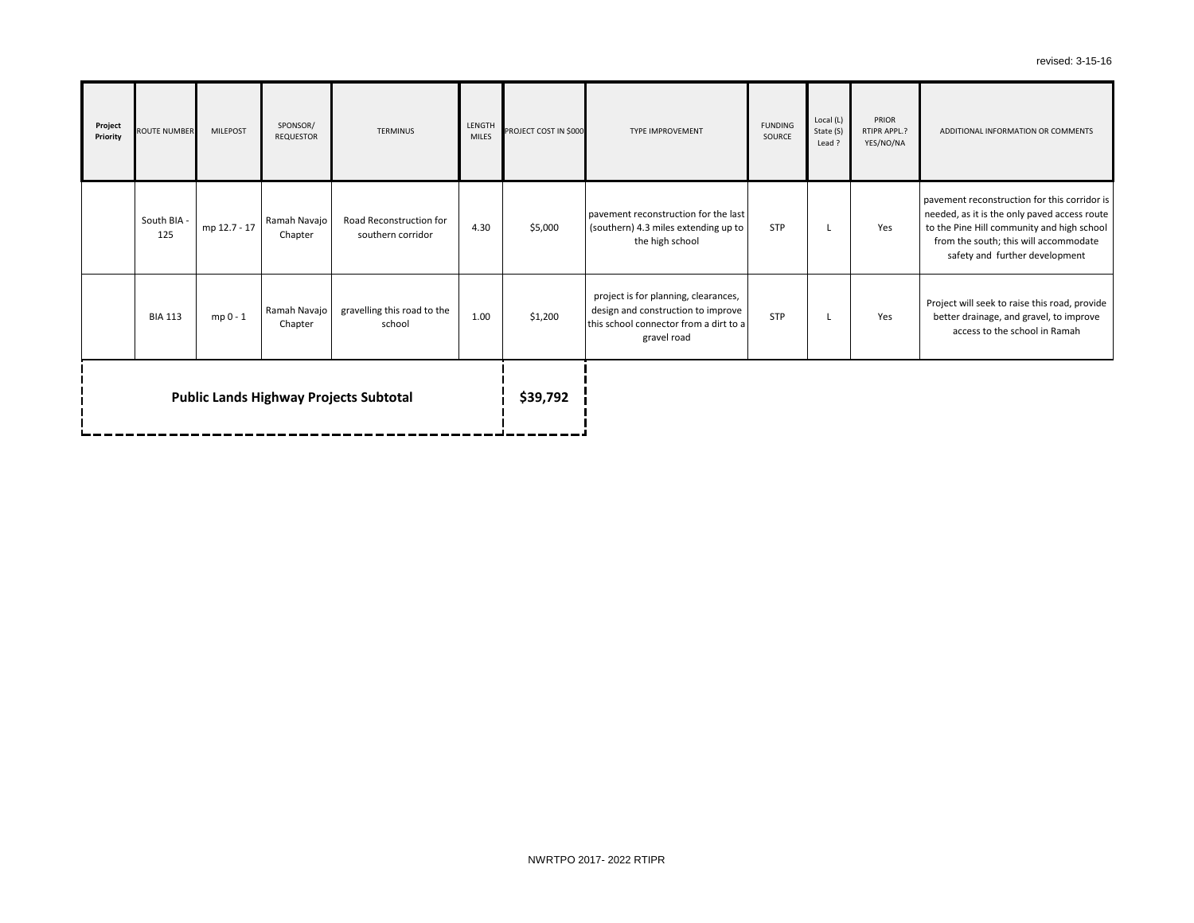ADDITIONAL INFORMATION OR COMMENTS

nent reconstruction for this corridor is ed, as it is the only paved access route **Pine Hill community and high school** m the south; this will accommodate safety and further development

ect will seek to raise this road, provide ter drainage, and gravel, to improve access to the school in Ramah

| Project<br>Priority                           | <b>ROUTE NUMBER</b> | <b>MILEPOST</b> | SPONSOR/<br><b>REQUESTOR</b> | <b>TERMINUS</b>                              | LENGTH<br><b>MILES</b> | PROJECT COST IN \$000 | <b>TYPE IMPROVEMENT</b>                                                                                                             | <b>FUNDING</b><br>SOURCE | Local (L)<br>State (S)<br>Lead? | PRIOR<br>RTIPR APPL.?<br>YES/NO/NA | <b>AD</b>                        |
|-----------------------------------------------|---------------------|-----------------|------------------------------|----------------------------------------------|------------------------|-----------------------|-------------------------------------------------------------------------------------------------------------------------------------|--------------------------|---------------------------------|------------------------------------|----------------------------------|
|                                               | South BIA -<br>125  | mp 12.7 - 17    | Ramah Navajo<br>Chapter      | Road Reconstruction for<br>southern corridor | 4.30                   | \$5,000               | pavement reconstruction for the last<br>(southern) 4.3 miles extending up to<br>the high school                                     | <b>STP</b>               | L                               | Yes                                | paven<br>neede<br>to the<br>fror |
|                                               | <b>BIA 113</b>      | $mp 0 - 1$      | Ramah Navajo<br>Chapter      | gravelling this road to the<br>school        | 1.00                   | \$1,200               | project is for planning, clearances,<br>design and construction to improve<br>this school connector from a dirt to a<br>gravel road | STP                      | L                               | Yes                                | Proje<br>bett                    |
| <b>Public Lands Highway Projects Subtotal</b> |                     |                 |                              |                                              |                        | \$39,792              |                                                                                                                                     |                          |                                 |                                    |                                  |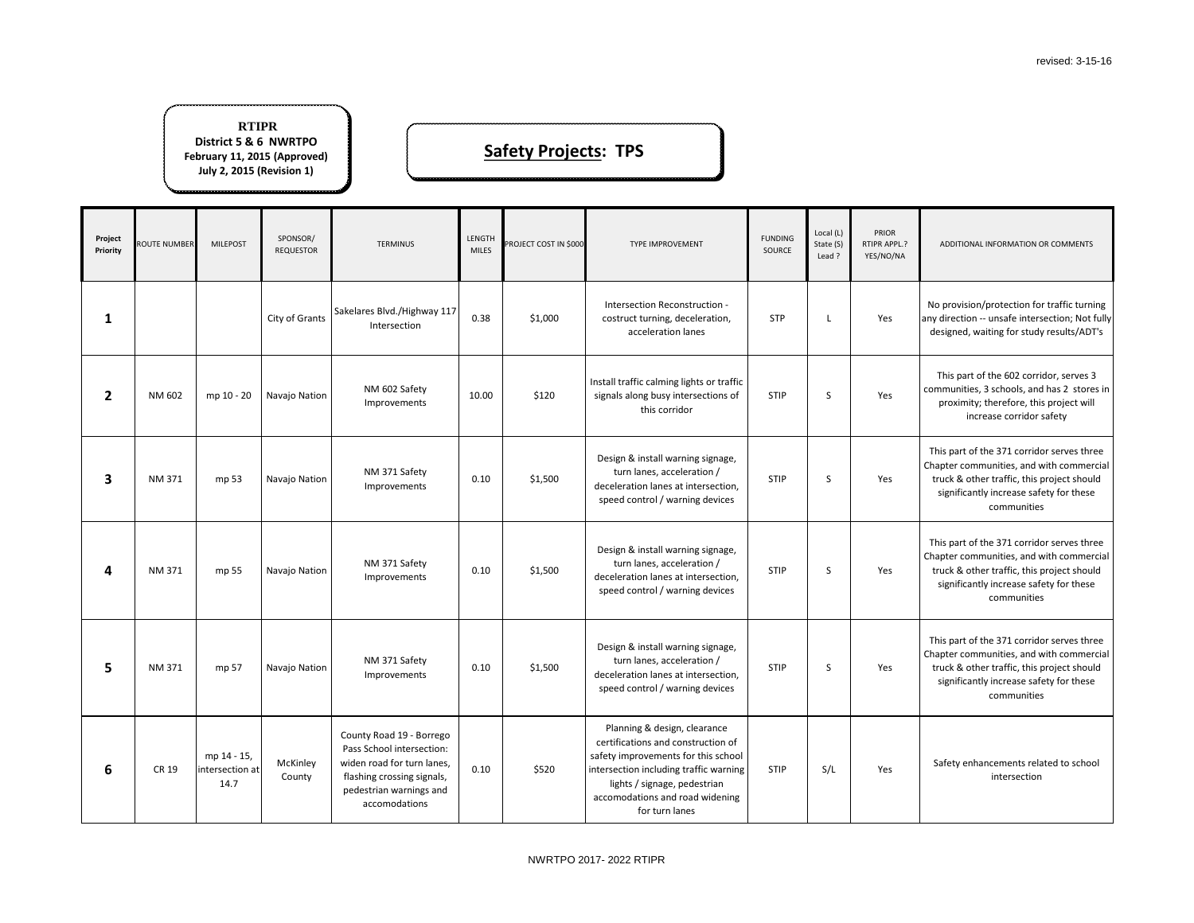

part of the 371 corridor serves three ter communities, and with commercial ck & other traffic, this project should gnificantly increase safety for these communities

| Project<br>Priority | ROUTE NUMBER | <b>MILEPOST</b>                        | SPONSOR/<br><b>REQUESTOR</b> | <b>TERMINUS</b>                                                                                                                                               | LENGTH<br><b>MILES</b> | PROJECT COST IN \$000 | TYPE IMPROVEMENT                                                                                                                                                                                                                         | <b>FUNDING</b><br>SOURCE | Local (L)<br>State (S)<br>Lead? | PRIOR<br>RTIPR APPL.?<br>YES/NO/NA | A                            |
|---------------------|--------------|----------------------------------------|------------------------------|---------------------------------------------------------------------------------------------------------------------------------------------------------------|------------------------|-----------------------|------------------------------------------------------------------------------------------------------------------------------------------------------------------------------------------------------------------------------------------|--------------------------|---------------------------------|------------------------------------|------------------------------|
| 1                   |              |                                        | City of Grants               | Sakelares Blvd./Highway 117<br>Intersection                                                                                                                   | 0.38                   | \$1,000               | Intersection Reconstruction -<br>costruct turning, deceleration,<br>acceleration lanes                                                                                                                                                   | <b>STP</b>               | L                               | Yes                                | No p<br>any di<br>desi       |
| $\overline{2}$      | NM 602       | mp 10 - 20                             | Navajo Nation                | NM 602 Safety<br>Improvements                                                                                                                                 | 10.00                  | \$120                 | Install traffic calming lights or traffic<br>signals along busy intersections of<br>this corridor                                                                                                                                        | <b>STIP</b>              | S                               | Yes                                | Th<br>comn<br>pr             |
| 3                   | NM 371       | mp 53                                  | Navajo Nation                | NM 371 Safety<br>Improvements                                                                                                                                 | 0.10                   | \$1,500               | Design & install warning signage,<br>turn lanes, acceleration /<br>deceleration lanes at intersection,<br>speed control / warning devices                                                                                                | <b>STIP</b>              | S                               | Yes                                | This<br>Chapt<br>truo<br>sig |
| 4                   | NM 371       | mp 55                                  | Navajo Nation                | NM 371 Safety<br>Improvements                                                                                                                                 | 0.10                   | \$1,500               | Design & install warning signage,<br>turn lanes, acceleration /<br>deceleration lanes at intersection,<br>speed control / warning devices                                                                                                | <b>STIP</b>              | S                               | Yes                                | This<br>Chapt<br>truo<br>sig |
| 5                   | NM 371       | mp 57                                  | Navajo Nation                | NM 371 Safety<br>Improvements                                                                                                                                 | 0.10                   | \$1,500               | Design & install warning signage,<br>turn lanes, acceleration /<br>deceleration lanes at intersection,<br>speed control / warning devices                                                                                                | <b>STIP</b>              | S                               | Yes                                | This<br>Chapt<br>truo<br>sig |
| 6                   | CR 19        | mp 14 - 15,<br>intersection at<br>14.7 | McKinley<br>County           | County Road 19 - Borrego<br>Pass School intersection:<br>widen road for turn lanes,<br>flashing crossing signals,<br>pedestrian warnings and<br>accomodations | 0.10                   | \$520                 | Planning & design, clearance<br>certifications and construction of<br>safety improvements for this school<br>intersection including traffic warning<br>lights / signage, pedestrian<br>accomodations and road widening<br>for turn lanes | <b>STIP</b>              | S/L                             | Yes                                | Saf                          |

fety enhancements related to school intersection

### **Safety Projects: TPS**

#### **RTIPR District 5 & 6 NWRTPO February 11, 2015 (Approved) July 2, 2015 (Revision 1)**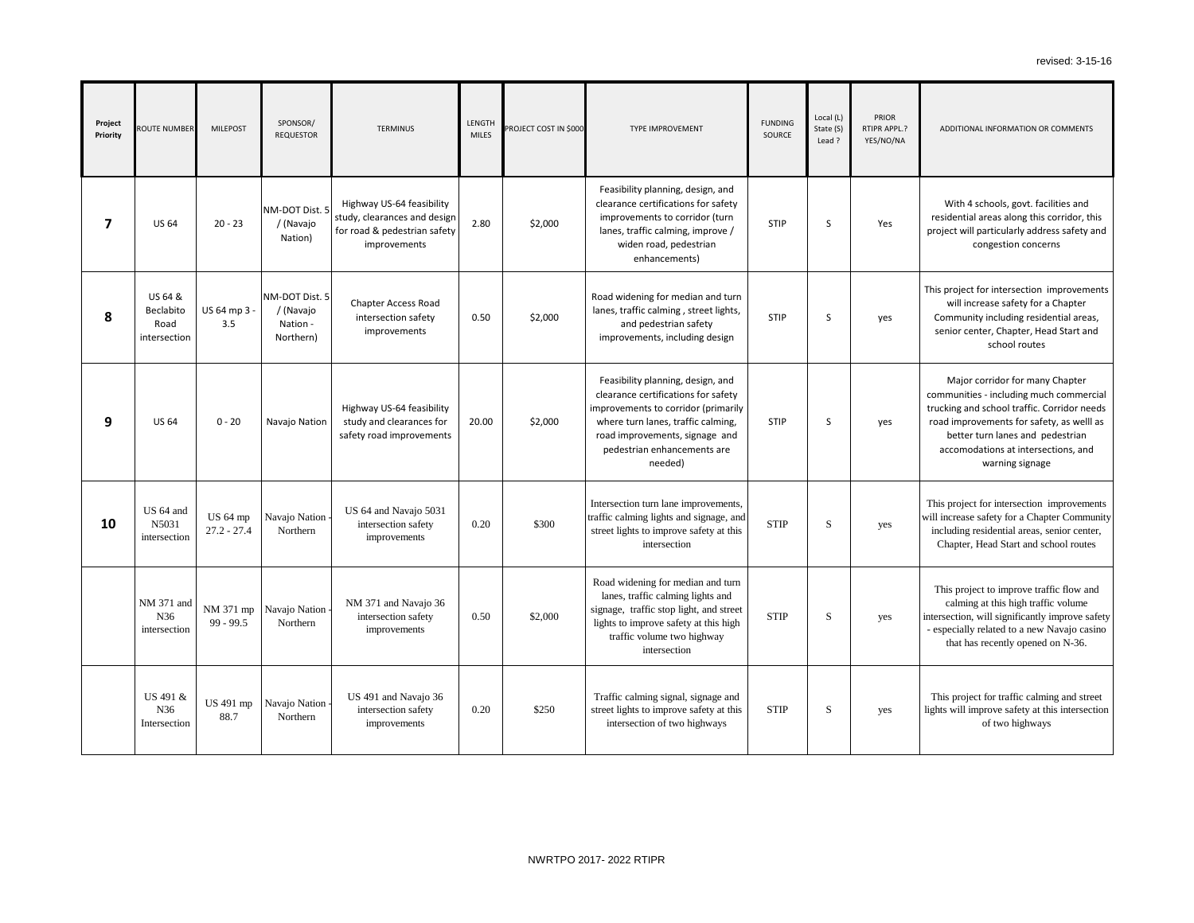**DITIONAL INFORMATION OR COMMENTS** 

roject for intersection improvements will increase safety for a Chapter nmunity including residential areas, ior center, Chapter, Head Start and school routes

With 4 schools, govt. facilities and dential areas along this corridor, this ct will particularly address safety and congestion concerns

| Project<br>Priority     | ROUTE NUMBER                                 | <b>MILEPOST</b>                  | SPONSOR/<br><b>REQUESTOR</b>                         | <b>TERMINUS</b>                                                                                           | LENGTH<br><b>MILES</b> | PROJECT COST IN \$000 | <b>TYPE IMPROVEMENT</b>                                                                                                                                                                                                           | <b>FUNDING</b><br><b>SOURCE</b> | Local $(L)$<br>State (S)<br>Lead ? | PRIOR<br>RTIPR APPL.?<br>YES/NO/NA | AD                                                |
|-------------------------|----------------------------------------------|----------------------------------|------------------------------------------------------|-----------------------------------------------------------------------------------------------------------|------------------------|-----------------------|-----------------------------------------------------------------------------------------------------------------------------------------------------------------------------------------------------------------------------------|---------------------------------|------------------------------------|------------------------------------|---------------------------------------------------|
| $\overline{\mathbf{z}}$ | <b>US 64</b>                                 | $20 - 23$                        | NM-DOT Dist. 5<br>/ (Navajo<br>Nation)               | Highway US-64 feasibility<br>study, clearances and design<br>for road & pedestrian safety<br>improvements | 2.80                   | \$2,000               | Feasibility planning, design, and<br>clearance certifications for safety<br>improvements to corridor (turn<br>lanes, traffic calming, improve /<br>widen road, pedestrian<br>enhancements)                                        | <b>STIP</b>                     | S                                  | Yes                                | W<br>resid<br>proje                               |
| 8                       | US 64 &<br>Beclabito<br>Road<br>intersection | US 64 mp 3 -<br>3.5              | NM-DOT Dist. 5<br>/ (Navajo<br>Nation -<br>Northern) | Chapter Access Road<br>intersection safety<br>improvements                                                | 0.50                   | \$2,000               | Road widening for median and turn<br>lanes, traffic calming, street lights,<br>and pedestrian safety<br>improvements, including design                                                                                            | <b>STIP</b>                     | S                                  | yes                                | This pr<br>Com<br>sen                             |
| 9                       | <b>US 64</b>                                 | $0 - 20$                         | Navajo Nation                                        | Highway US-64 feasibility<br>study and clearances for<br>safety road improvements                         | 20.00                  | \$2,000               | Feasibility planning, design, and<br>clearance certifications for safety<br>improvements to corridor (primarily<br>where turn lanes, traffic calming,<br>road improvements, signage and<br>pedestrian enhancements are<br>needed) | <b>STIP</b>                     | S                                  | yes                                | $\mathbf \Lambda$<br>comm<br>trucki<br>road<br>ac |
| 10                      | US 64 and<br>N5031<br>intersection           | <b>US 64 mp</b><br>$27.2 - 27.4$ | Navajo Nation<br>Northern                            | US 64 and Navajo 5031<br>intersection safety<br>improvements                                              | 0.20                   | \$300                 | Intersection turn lane improvements,<br>traffic calming lights and signage, and<br>street lights to improve safety at this<br>intersection                                                                                        | <b>STIP</b>                     | ${\bf S}$                          | yes                                | This p<br>will inc<br>inclu<br>Ch                 |
|                         | NM 371 and<br>N36<br>intersection            | NM 371 mp<br>$99 - 99.5$         | Navajo Nation -<br>Northern                          | NM 371 and Navajo 36<br>intersection safety<br>improvements                                               | 0.50                   | \$2,000               | Road widening for median and turn<br>lanes, traffic calming lights and<br>signage, traffic stop light, and street<br>lights to improve safety at this high<br>traffic volume two highway<br>intersection                          | <b>STIP</b>                     | S                                  | yes                                | This<br>$\mathbf{C}$<br>interse<br>- espe<br>tl   |
|                         | US 491 &<br>N36<br>Intersection              | US 491 mp<br>88.7                | Navajo Nation -<br>Northern                          | US 491 and Navajo 36<br>intersection safety<br>improvements                                               | 0.20                   | \$250                 | Traffic calming signal, signage and<br>street lights to improve safety at this<br>intersection of two highways                                                                                                                    | <b>STIP</b>                     | ${\bf S}$                          | yes                                | This<br>lights                                    |

project for traffic calming and street will improve safety at this intersection of two highways

Major corridor for many Chapter nunities - including much commercial ing and school traffic. Corridor needs improvements for safety, as welll as better turn lanes and pedestrian comodations at intersections, and warning signage

project for intersection improvements crease safety for a Chapter Community ading residential areas, senior center, apter, Head Start and school routes

s project to improve traffic flow and calming at this high traffic volume ection, will significantly improve safety ecially related to a new Navajo casino hat has recently opened on N-36.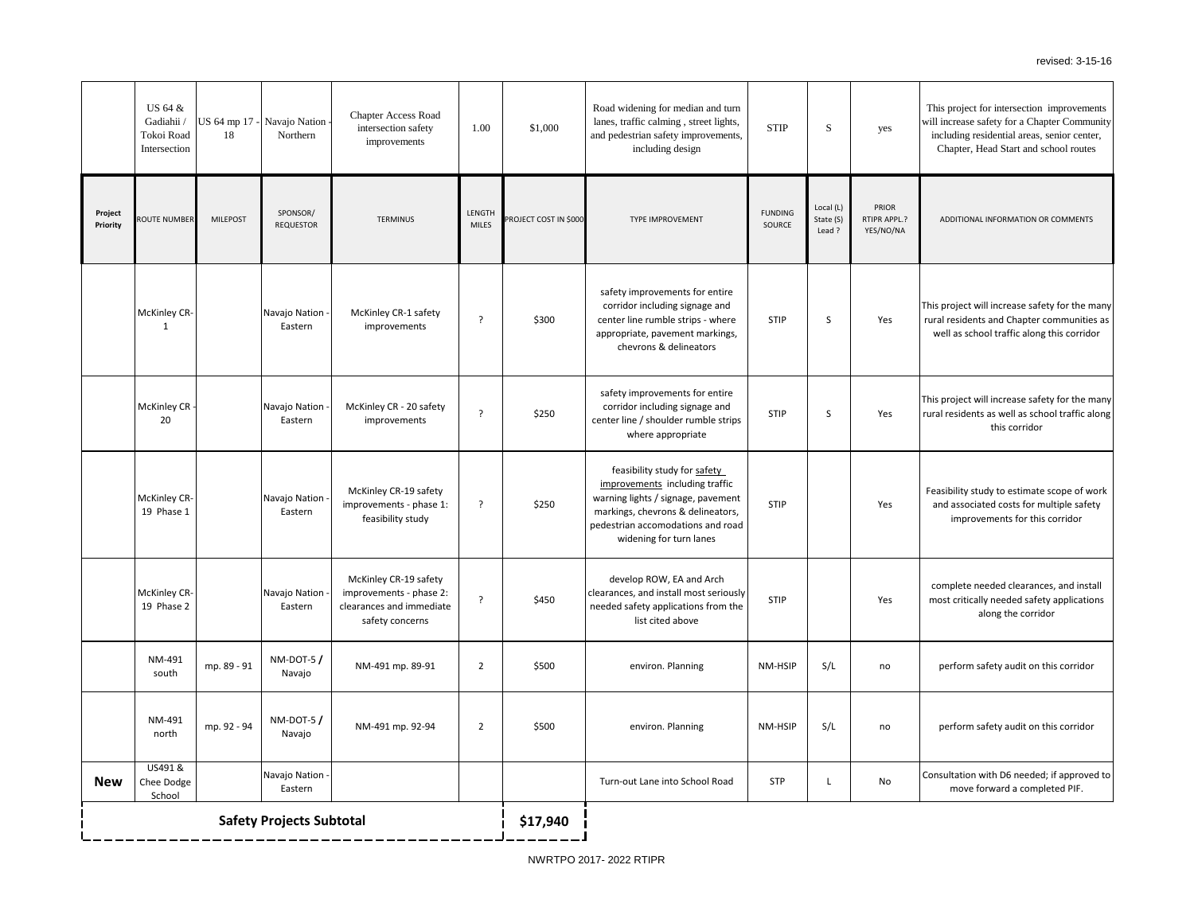project for intersection improvements crease safety for a Chapter Community uding residential areas, senior center, apter, Head Start and school routes **DITIONAL INFORMATION OR COMMENTS** roject will increase safety for the many residents and Chapter communities as l as school traffic along this corridor roject will increase safety for the many residents as well as school traffic along this corridor bility study to estimate scope of work associated costs for multiple safety improvements for this corridor plete needed clearances, and install t critically needed safety applications along the corridor erform safety audit on this corridor erform safety audit on this corridor Itation with D6 needed; if approved to move forward a completed PIF.

|                     | US 64 &<br>Gadiahii /<br>Tokoi Road<br>Intersection | 18              | US 64 mp 17 - Navajo Nation -<br>Northern | <b>Chapter Access Road</b><br>intersection safety<br>improvements                               | 1.00                   | \$1,000               | Road widening for median and turn<br>lanes, traffic calming, street lights,<br>and pedestrian safety improvements,<br>including design                                                                    | <b>STIP</b>              | ${\bf S}$                        | yes                                | This 1<br>will in<br>inclu<br>Ch |
|---------------------|-----------------------------------------------------|-----------------|-------------------------------------------|-------------------------------------------------------------------------------------------------|------------------------|-----------------------|-----------------------------------------------------------------------------------------------------------------------------------------------------------------------------------------------------------|--------------------------|----------------------------------|------------------------------------|----------------------------------|
| Project<br>Priority | ROUTE NUMBER                                        | <b>MILEPOST</b> | SPONSOR/<br><b>REQUESTOR</b>              | <b>TERMINUS</b>                                                                                 | LENGTH<br><b>MILES</b> | PROJECT COST IN \$000 | <b>TYPE IMPROVEMENT</b>                                                                                                                                                                                   | <b>FUNDING</b><br>SOURCE | Local (L)<br>State (S)<br>Lead ? | PRIOR<br>RTIPR APPL.?<br>YES/NO/NA | AD                               |
|                     | McKinley CR-<br>$\mathbf{1}$                        |                 | Navajo Nation -<br>Eastern                | McKinley CR-1 safety<br>improvements                                                            | ?                      | \$300                 | safety improvements for entire<br>corridor including signage and<br>center line rumble strips - where<br>appropriate, pavement markings,<br>chevrons & delineators                                        | <b>STIP</b>              | S                                | Yes                                | This pr<br>rural r<br>well       |
|                     | McKinley CR -<br>20                                 |                 | Navajo Nation -<br>Eastern                | McKinley CR - 20 safety<br>improvements                                                         | ?                      | \$250                 | safety improvements for entire<br>corridor including signage and<br>center line / shoulder rumble strips<br>where appropriate                                                                             | <b>STIP</b>              | S                                | Yes                                | This pr<br>rural r               |
|                     | <b>McKinley CR-</b><br>19 Phase 1                   |                 | Navajo Nation -<br>Eastern                | McKinley CR-19 safety<br>improvements - phase 1:<br>feasibility study                           | ?                      | \$250                 | feasibility study for safety<br>improvements including traffic<br>warning lights / signage, pavement<br>markings, chevrons & delineators,<br>pedestrian accomodations and road<br>widening for turn lanes | <b>STIP</b>              |                                  | Yes                                | Feasil<br>and                    |
|                     | <b>McKinley CR-</b><br>19 Phase 2                   |                 | Navajo Nation -<br>Eastern                | McKinley CR-19 safety<br>improvements - phase 2:<br>clearances and immediate<br>safety concerns | ?                      | \$450                 | develop ROW, EA and Arch<br>clearances, and install most seriously<br>needed safety applications from the<br>list cited above                                                                             | STIP                     |                                  | Yes                                | com<br>most                      |
|                     | NM-491<br>south                                     | mp. 89 - 91     | $NM-DOT-5/$<br>Navajo                     | NM-491 mp. 89-91                                                                                | $\overline{2}$         | \$500                 | environ. Planning                                                                                                                                                                                         | NM-HSIP                  | S/L                              | no                                 | pe                               |
|                     | NM-491<br>north                                     | mp. 92 - 94     | $NM-DOT-5/$<br>Navajo                     | NM-491 mp. 92-94                                                                                | $\overline{2}$         | \$500                 | environ. Planning                                                                                                                                                                                         | NM-HSIP                  | S/L                              | no                                 | pe                               |
| <b>New</b>          | US491 &<br>Chee Dodge<br>School                     |                 | Navajo Nation -<br>Eastern                |                                                                                                 |                        |                       | Turn-out Lane into School Road                                                                                                                                                                            | <b>STP</b>               | $\mathsf{L}$                     | No                                 | Consul                           |
|                     | <b>Safety Projects Subtotal</b>                     |                 |                                           |                                                                                                 |                        |                       |                                                                                                                                                                                                           |                          |                                  |                                    |                                  |
|                     |                                                     |                 |                                           |                                                                                                 |                        |                       |                                                                                                                                                                                                           |                          |                                  |                                    |                                  |